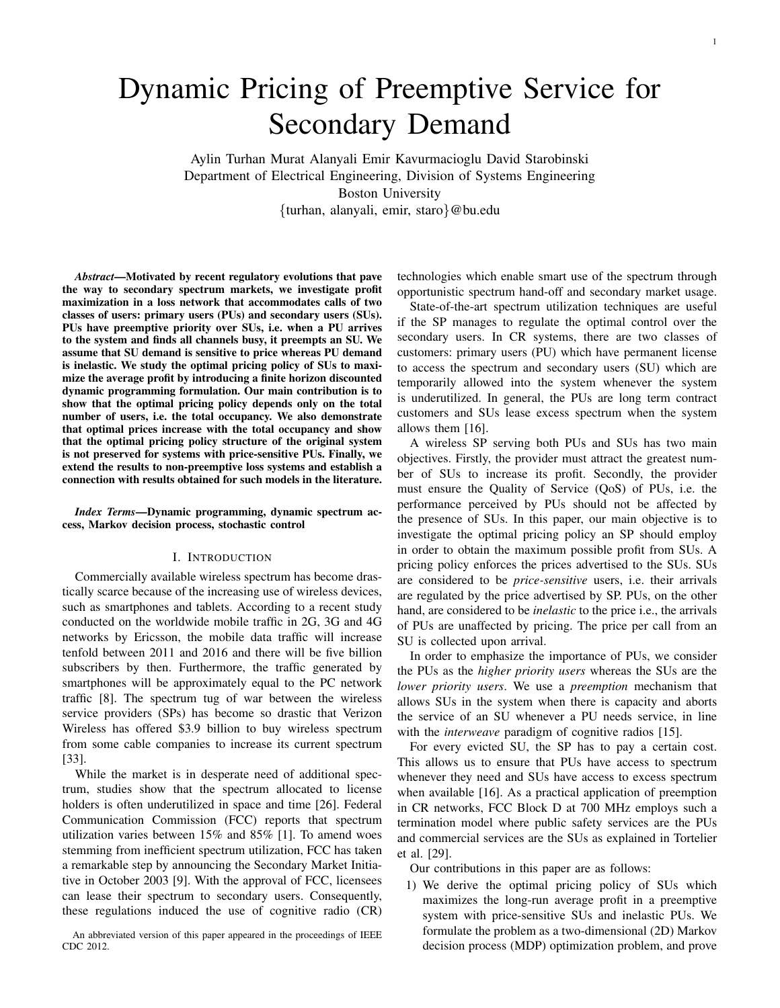# Dynamic Pricing of Preemptive Service for Secondary Demand

Aylin Turhan Murat Alanyali Emir Kavurmacioglu David Starobinski Department of Electrical Engineering, Division of Systems Engineering Boston University {turhan, alanyali, emir, staro}@bu.edu

*Abstract*—Motivated by recent regulatory evolutions that pave the way to secondary spectrum markets, we investigate profit maximization in a loss network that accommodates calls of two classes of users: primary users (PUs) and secondary users (SUs). PUs have preemptive priority over SUs, i.e. when a PU arrives to the system and finds all channels busy, it preempts an SU. We assume that SU demand is sensitive to price whereas PU demand is inelastic. We study the optimal pricing policy of SUs to maximize the average profit by introducing a finite horizon discounted dynamic programming formulation. Our main contribution is to show that the optimal pricing policy depends only on the total number of users, i.e. the total occupancy. We also demonstrate that optimal prices increase with the total occupancy and show that the optimal pricing policy structure of the original system is not preserved for systems with price-sensitive PUs. Finally, we extend the results to non-preemptive loss systems and establish a connection with results obtained for such models in the literature.

*Index Terms*—Dynamic programming, dynamic spectrum access, Markov decision process, stochastic control

#### I. INTRODUCTION

Commercially available wireless spectrum has become drastically scarce because of the increasing use of wireless devices, such as smartphones and tablets. According to a recent study conducted on the worldwide mobile traffic in 2G, 3G and 4G networks by Ericsson, the mobile data traffic will increase tenfold between 2011 and 2016 and there will be five billion subscribers by then. Furthermore, the traffic generated by smartphones will be approximately equal to the PC network traffic [8]. The spectrum tug of war between the wireless service providers (SPs) has become so drastic that Verizon Wireless has offered \$3.9 billion to buy wireless spectrum from some cable companies to increase its current spectrum [33].

While the market is in desperate need of additional spectrum, studies show that the spectrum allocated to license holders is often underutilized in space and time [26]. Federal Communication Commission (FCC) reports that spectrum utilization varies between 15% and 85% [1]. To amend woes stemming from inefficient spectrum utilization, FCC has taken a remarkable step by announcing the Secondary Market Initiative in October 2003 [9]. With the approval of FCC, licensees can lease their spectrum to secondary users. Consequently, these regulations induced the use of cognitive radio (CR)

An abbreviated version of this paper appeared in the proceedings of IEEE CDC 2012.

technologies which enable smart use of the spectrum through opportunistic spectrum hand-off and secondary market usage.

State-of-the-art spectrum utilization techniques are useful if the SP manages to regulate the optimal control over the secondary users. In CR systems, there are two classes of customers: primary users (PU) which have permanent license to access the spectrum and secondary users (SU) which are temporarily allowed into the system whenever the system is underutilized. In general, the PUs are long term contract customers and SUs lease excess spectrum when the system allows them [16].

A wireless SP serving both PUs and SUs has two main objectives. Firstly, the provider must attract the greatest number of SUs to increase its profit. Secondly, the provider must ensure the Quality of Service (QoS) of PUs, i.e. the performance perceived by PUs should not be affected by the presence of SUs. In this paper, our main objective is to investigate the optimal pricing policy an SP should employ in order to obtain the maximum possible profit from SUs. A pricing policy enforces the prices advertised to the SUs. SUs are considered to be *price-sensitive* users, i.e. their arrivals are regulated by the price advertised by SP. PUs, on the other hand, are considered to be *inelastic* to the price i.e., the arrivals of PUs are unaffected by pricing. The price per call from an SU is collected upon arrival.

In order to emphasize the importance of PUs, we consider the PUs as the *higher priority users* whereas the SUs are the *lower priority users*. We use a *preemption* mechanism that allows SUs in the system when there is capacity and aborts the service of an SU whenever a PU needs service, in line with the *interweave* paradigm of cognitive radios [15].

For every evicted SU, the SP has to pay a certain cost. This allows us to ensure that PUs have access to spectrum whenever they need and SUs have access to excess spectrum when available [16]. As a practical application of preemption in CR networks, FCC Block D at 700 MHz employs such a termination model where public safety services are the PUs and commercial services are the SUs as explained in Tortelier et al. [29].

Our contributions in this paper are as follows:

1) We derive the optimal pricing policy of SUs which maximizes the long-run average profit in a preemptive system with price-sensitive SUs and inelastic PUs. We formulate the problem as a two-dimensional (2D) Markov decision process (MDP) optimization problem, and prove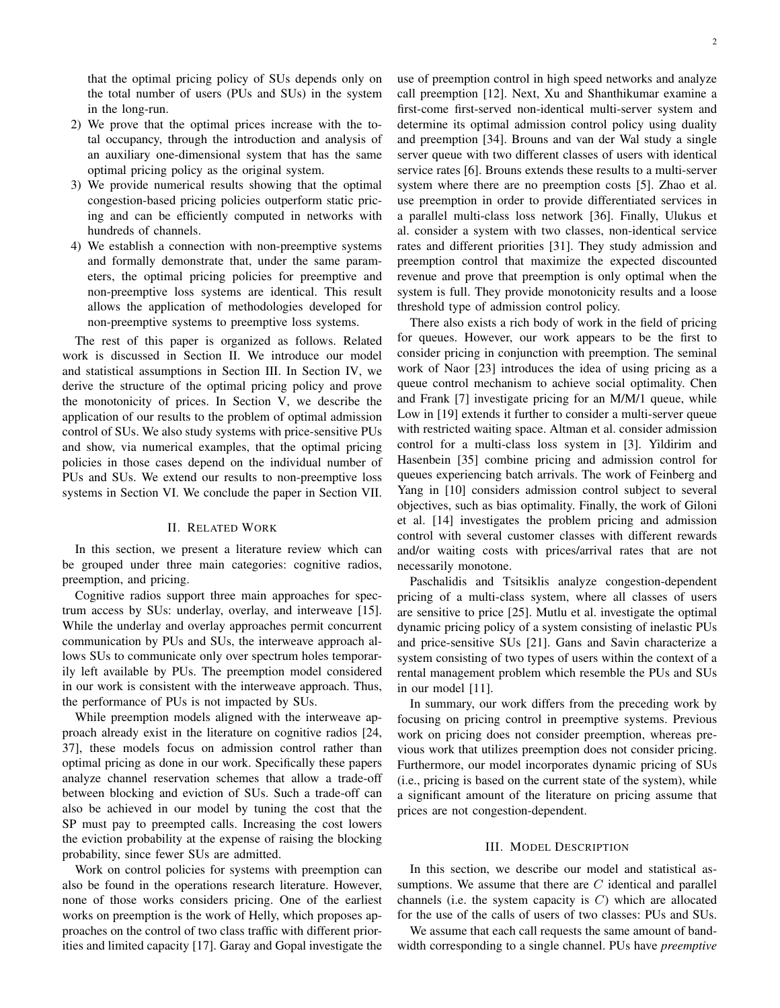- 2) We prove that the optimal prices increase with the total occupancy, through the introduction and analysis of an auxiliary one-dimensional system that has the same optimal pricing policy as the original system.
- 3) We provide numerical results showing that the optimal congestion-based pricing policies outperform static pricing and can be efficiently computed in networks with hundreds of channels.
- 4) We establish a connection with non-preemptive systems and formally demonstrate that, under the same parameters, the optimal pricing policies for preemptive and non-preemptive loss systems are identical. This result allows the application of methodologies developed for non-preemptive systems to preemptive loss systems.

The rest of this paper is organized as follows. Related work is discussed in Section II. We introduce our model and statistical assumptions in Section III. In Section IV, we derive the structure of the optimal pricing policy and prove the monotonicity of prices. In Section V, we describe the application of our results to the problem of optimal admission control of SUs. We also study systems with price-sensitive PUs and show, via numerical examples, that the optimal pricing policies in those cases depend on the individual number of PUs and SUs. We extend our results to non-preemptive loss systems in Section VI. We conclude the paper in Section VII.

# II. RELATED WORK

In this section, we present a literature review which can be grouped under three main categories: cognitive radios, preemption, and pricing.

Cognitive radios support three main approaches for spectrum access by SUs: underlay, overlay, and interweave [15]. While the underlay and overlay approaches permit concurrent communication by PUs and SUs, the interweave approach allows SUs to communicate only over spectrum holes temporarily left available by PUs. The preemption model considered in our work is consistent with the interweave approach. Thus, the performance of PUs is not impacted by SUs.

While preemption models aligned with the interweave approach already exist in the literature on cognitive radios [24, 37], these models focus on admission control rather than optimal pricing as done in our work. Specifically these papers analyze channel reservation schemes that allow a trade-off between blocking and eviction of SUs. Such a trade-off can also be achieved in our model by tuning the cost that the SP must pay to preempted calls. Increasing the cost lowers the eviction probability at the expense of raising the blocking probability, since fewer SUs are admitted.

Work on control policies for systems with preemption can also be found in the operations research literature. However, none of those works considers pricing. One of the earliest works on preemption is the work of Helly, which proposes approaches on the control of two class traffic with different priorities and limited capacity [17]. Garay and Gopal investigate the use of preemption control in high speed networks and analyze call preemption [12]. Next, Xu and Shanthikumar examine a first-come first-served non-identical multi-server system and determine its optimal admission control policy using duality and preemption [34]. Brouns and van der Wal study a single server queue with two different classes of users with identical service rates [6]. Brouns extends these results to a multi-server system where there are no preemption costs [5]. Zhao et al. use preemption in order to provide differentiated services in a parallel multi-class loss network [36]. Finally, Ulukus et al. consider a system with two classes, non-identical service rates and different priorities [31]. They study admission and preemption control that maximize the expected discounted revenue and prove that preemption is only optimal when the system is full. They provide monotonicity results and a loose threshold type of admission control policy.

There also exists a rich body of work in the field of pricing for queues. However, our work appears to be the first to consider pricing in conjunction with preemption. The seminal work of Naor [23] introduces the idea of using pricing as a queue control mechanism to achieve social optimality. Chen and Frank [7] investigate pricing for an M/M/1 queue, while Low in [19] extends it further to consider a multi-server queue with restricted waiting space. Altman et al. consider admission control for a multi-class loss system in [3]. Yildirim and Hasenbein [35] combine pricing and admission control for queues experiencing batch arrivals. The work of Feinberg and Yang in [10] considers admission control subject to several objectives, such as bias optimality. Finally, the work of Giloni et al. [14] investigates the problem pricing and admission control with several customer classes with different rewards and/or waiting costs with prices/arrival rates that are not necessarily monotone.

Paschalidis and Tsitsiklis analyze congestion-dependent pricing of a multi-class system, where all classes of users are sensitive to price [25]. Mutlu et al. investigate the optimal dynamic pricing policy of a system consisting of inelastic PUs and price-sensitive SUs [21]. Gans and Savin characterize a system consisting of two types of users within the context of a rental management problem which resemble the PUs and SUs in our model [11].

In summary, our work differs from the preceding work by focusing on pricing control in preemptive systems. Previous work on pricing does not consider preemption, whereas previous work that utilizes preemption does not consider pricing. Furthermore, our model incorporates dynamic pricing of SUs (i.e., pricing is based on the current state of the system), while a significant amount of the literature on pricing assume that prices are not congestion-dependent.

# III. MODEL DESCRIPTION

In this section, we describe our model and statistical assumptions. We assume that there are  $C$  identical and parallel channels (i.e. the system capacity is  $C$ ) which are allocated for the use of the calls of users of two classes: PUs and SUs.

We assume that each call requests the same amount of bandwidth corresponding to a single channel. PUs have *preemptive*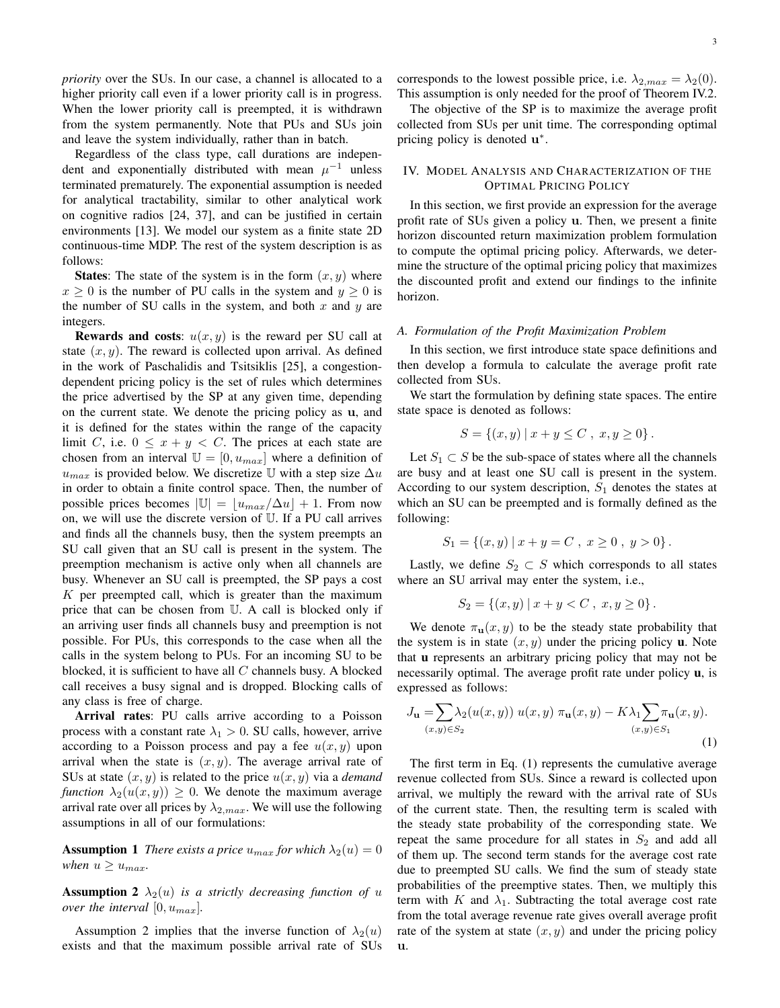*priority* over the SUs. In our case, a channel is allocated to a higher priority call even if a lower priority call is in progress. When the lower priority call is preempted, it is withdrawn from the system permanently. Note that PUs and SUs join and leave the system individually, rather than in batch.

Regardless of the class type, call durations are independent and exponentially distributed with mean  $\mu^{-1}$  unless terminated prematurely. The exponential assumption is needed for analytical tractability, similar to other analytical work on cognitive radios [24, 37], and can be justified in certain environments [13]. We model our system as a finite state 2D continuous-time MDP. The rest of the system description is as follows:

**States:** The state of the system is in the form  $(x, y)$  where  $x \geq 0$  is the number of PU calls in the system and  $y \geq 0$  is the number of SU calls in the system, and both  $x$  and  $y$  are integers.

**Rewards and costs:**  $u(x, y)$  is the reward per SU call at state  $(x, y)$ . The reward is collected upon arrival. As defined in the work of Paschalidis and Tsitsiklis [25], a congestiondependent pricing policy is the set of rules which determines the price advertised by the SP at any given time, depending on the current state. We denote the pricing policy as u, and it is defined for the states within the range of the capacity limit C, i.e.  $0 \leq x + y \leq C$ . The prices at each state are chosen from an interval  $\mathbb{U} = [0, u_{max}]$  where a definition of  $u_{max}$  is provided below. We discretize U with a step size  $\Delta u$ in order to obtain a finite control space. Then, the number of possible prices becomes  $|\mathbb{U}| = \lfloor u_{max}/\Delta u \rfloor + 1$ . From now on, we will use the discrete version of U. If a PU call arrives and finds all the channels busy, then the system preempts an SU call given that an SU call is present in the system. The preemption mechanism is active only when all channels are busy. Whenever an SU call is preempted, the SP pays a cost  $K$  per preempted call, which is greater than the maximum price that can be chosen from U. A call is blocked only if an arriving user finds all channels busy and preemption is not possible. For PUs, this corresponds to the case when all the calls in the system belong to PUs. For an incoming SU to be blocked, it is sufficient to have all  $C$  channels busy. A blocked call receives a busy signal and is dropped. Blocking calls of any class is free of charge.

Arrival rates: PU calls arrive according to a Poisson process with a constant rate  $\lambda_1 > 0$ . SU calls, however, arrive according to a Poisson process and pay a fee  $u(x, y)$  upon arrival when the state is  $(x, y)$ . The average arrival rate of SUs at state  $(x, y)$  is related to the price  $u(x, y)$  via a *demand function*  $\lambda_2(u(x, y)) \geq 0$ . We denote the maximum average arrival rate over all prices by  $\lambda_{2,max}$ . We will use the following assumptions in all of our formulations:

**Assumption 1** *There exists a price*  $u_{max}$  *for which*  $\lambda_2(u) = 0$ *when*  $u \geq u_{max}$ *.* 

**Assumption 2**  $\lambda_2(u)$  *is a strictly decreasing function of u over the interval*  $[0, u_{max}]$ *.* 

Assumption 2 implies that the inverse function of  $\lambda_2(u)$ exists and that the maximum possible arrival rate of SUs corresponds to the lowest possible price, i.e.  $\lambda_{2,max} = \lambda_2(0)$ . This assumption is only needed for the proof of Theorem IV.2.

The objective of the SP is to maximize the average profit collected from SUs per unit time. The corresponding optimal pricing policy is denoted  $\mathbf{u}^*$ .

# IV. MODEL ANALYSIS AND CHARACTERIZATION OF THE OPTIMAL PRICING POLICY

In this section, we first provide an expression for the average profit rate of SUs given a policy u. Then, we present a finite horizon discounted return maximization problem formulation to compute the optimal pricing policy. Afterwards, we determine the structure of the optimal pricing policy that maximizes the discounted profit and extend our findings to the infinite horizon.

#### *A. Formulation of the Profit Maximization Problem*

In this section, we first introduce state space definitions and then develop a formula to calculate the average profit rate collected from SUs.

We start the formulation by defining state spaces. The entire state space is denoted as follows:

$$
S = \{(x, y) \mid x + y \le C, x, y \ge 0\}.
$$

Let  $S_1 \subset S$  be the sub-space of states where all the channels are busy and at least one SU call is present in the system. According to our system description,  $S_1$  denotes the states at which an SU can be preempted and is formally defined as the following:

$$
S_1 = \{(x, y) | x + y = C, x \ge 0, y > 0\}.
$$

Lastly, we define  $S_2 \subset S$  which corresponds to all states where an SU arrival may enter the system, i.e.,

$$
S_2 = \{(x, y) \mid x + y < C, \ x, y \ge 0\}.
$$

We denote  $\pi_{\mathbf{u}}(x, y)$  to be the steady state probability that the system is in state  $(x, y)$  under the pricing policy **u**. Note that u represents an arbitrary pricing policy that may not be necessarily optimal. The average profit rate under policy u, is expressed as follows:

$$
J_{\mathbf{u}} = \sum_{(x,y)\in S_2} \lambda_2(u(x,y)) u(x,y) \pi_{\mathbf{u}}(x,y) - K\lambda_1 \sum_{(x,y)\in S_1} \pi_{\mathbf{u}}(x,y).
$$
\n(1)

The first term in Eq. (1) represents the cumulative average revenue collected from SUs. Since a reward is collected upon arrival, we multiply the reward with the arrival rate of SUs of the current state. Then, the resulting term is scaled with the steady state probability of the corresponding state. We repeat the same procedure for all states in  $S_2$  and add all of them up. The second term stands for the average cost rate due to preempted SU calls. We find the sum of steady state probabilities of the preemptive states. Then, we multiply this term with K and  $\lambda_1$ . Subtracting the total average cost rate from the total average revenue rate gives overall average profit rate of the system at state  $(x, y)$  and under the pricing policy u.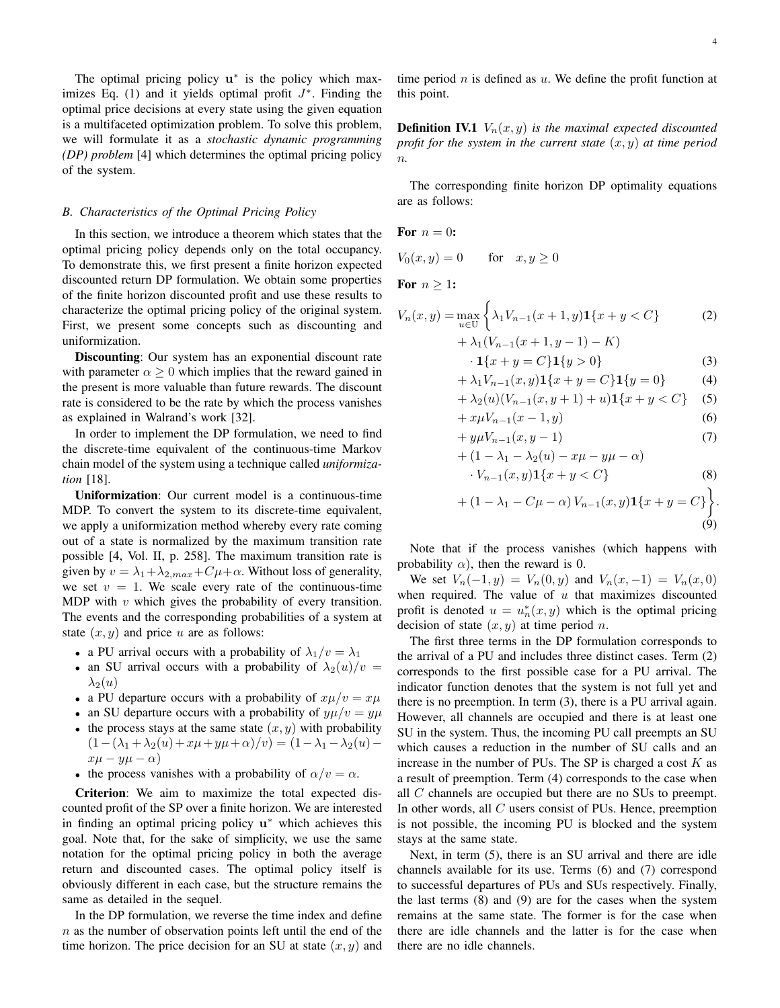The optimal pricing policy  $\mathbf{u}^*$  is the policy which maximizes Eq. (1) and it yields optimal profit  $J^*$ . Finding the optimal price decisions at every state using the given equation is a multifaceted optimization problem. To solve this problem, we will formulate it as a *stochastic dynamic programming (DP) problem* [4] which determines the optimal pricing policy of the system.

#### *B. Characteristics of the Optimal Pricing Policy*

In this section, we introduce a theorem which states that the optimal pricing policy depends only on the total occupancy. To demonstrate this, we first present a finite horizon expected discounted return DP formulation. We obtain some properties of the finite horizon discounted profit and use these results to characterize the optimal pricing policy of the original system. First, we present some concepts such as discounting and uniformization.

Discounting: Our system has an exponential discount rate with parameter  $\alpha \geq 0$  which implies that the reward gained in the present is more valuable than future rewards. The discount rate is considered to be the rate by which the process vanishes as explained in Walrand's work [32].

In order to implement the DP formulation, we need to find the discrete-time equivalent of the continuous-time Markov chain model of the system using a technique called *uniformization* [18].

Uniformization: Our current model is a continuous-time MDP. To convert the system to its discrete-time equivalent, we apply a uniformization method whereby every rate coming out of a state is normalized by the maximum transition rate possible [4, Vol. II, p. 258]. The maximum transition rate is given by  $v = \lambda_1 + \lambda_{2,max} + C\mu + \alpha$ . Without loss of generality, we set  $v = 1$ . We scale every rate of the continuous-time MDP with  $v$  which gives the probability of every transition. The events and the corresponding probabilities of a system at state  $(x, y)$  and price u are as follows:

- a PU arrival occurs with a probability of  $\lambda_1/v = \lambda_1$
- an SU arrival occurs with a probability of  $\lambda_2(u)/v =$  $\lambda_2(u)$
- a PU departure occurs with a probability of  $x\mu/v = x\mu$
- an SU departure occurs with a probability of  $y\mu/v = y\mu$
- the process stays at the same state  $(x, y)$  with probability  $(1-(\lambda_1 + \lambda_2(u)+x\mu+y\mu+\alpha)/v) = (1-\lambda_1 - \lambda_2(u)$  $x\mu - y\mu - \alpha$
- the process vanishes with a probability of  $\alpha/v = \alpha$ .

Criterion: We aim to maximize the total expected discounted profit of the SP over a finite horizon. We are interested in finding an optimal pricing policy u<sup>∗</sup> which achieves this goal. Note that, for the sake of simplicity, we use the same notation for the optimal pricing policy in both the average return and discounted cases. The optimal policy itself is obviously different in each case, but the structure remains the same as detailed in the sequel.

In the DP formulation, we reverse the time index and define  $n$  as the number of observation points left until the end of the time horizon. The price decision for an SU at state  $(x, y)$  and time period  $n$  is defined as  $u$ . We define the profit function at this point.

**Definition IV.1**  $V_n(x, y)$  *is the maximal expected discounted profit for the system in the current state*  $(x, y)$  *at time period* n*.*

The corresponding finite horizon DP optimality equations are as follows:

For 
$$
n = 0
$$
:

 $V_0(x, y) = 0$  for  $x, y \ge 0$ 

For  $n > 1$ :

$$
V_n(x,y) = \max_{u \in \mathbb{U}} \left\{ \lambda_1 V_{n-1}(x+1,y) \mathbf{1}\{x+y < C\} \right\}
$$
 (2)  
 
$$
+ \lambda_1 (V_{n-1}(x+1,y-1) - K)
$$

$$
\cdot \mathbf{1}\{x+y=C\} \mathbf{1}\{y>0\} \tag{3}
$$

$$
+\lambda_1 V_{n-1}(x, y) \mathbf{1}\{x + y = C\} \mathbf{1}\{y = 0\}
$$
 (4)

$$
+\lambda_2(u)(V_{n-1}(x, y+1)+u)\mathbf{1}\{x+y
$$

$$
+ x \mu V_{n-1}(x-1, y)
$$
\n
$$
+ u \mu V_{n-1}(x, y-1)
$$
\n(6)

$$
+ y\mu v_{n-1}(x, y-1)
$$
  
+ 
$$
(1 - \lambda_1 - \lambda_2(u) - x\mu - y\mu - \alpha)
$$
 (7)

$$
\cdot V_{n-1}(x,y)\mathbf{1}\{x+y
$$

+ 
$$
(1 - \lambda_1 - C\mu - \alpha) V_{n-1}(x, y) \mathbf{1}\{x + y = C\}
$$
   
\n(9)

Note that if the process vanishes (which happens with probability  $\alpha$ ), then the reward is 0.

We set  $V_n(-1, y) = V_n(0, y)$  and  $V_n(x, -1) = V_n(x, 0)$ when required. The value of  $u$  that maximizes discounted profit is denoted  $u = u_n^*(x, y)$  which is the optimal pricing decision of state  $(x, y)$  at time period *n*.

The first three terms in the DP formulation corresponds to the arrival of a PU and includes three distinct cases. Term (2) corresponds to the first possible case for a PU arrival. The indicator function denotes that the system is not full yet and there is no preemption. In term (3), there is a PU arrival again. However, all channels are occupied and there is at least one SU in the system. Thus, the incoming PU call preempts an SU which causes a reduction in the number of SU calls and an increase in the number of PUs. The SP is charged a cost  $K$  as a result of preemption. Term (4) corresponds to the case when all C channels are occupied but there are no SUs to preempt. In other words, all C users consist of PUs. Hence, preemption is not possible, the incoming PU is blocked and the system stays at the same state.

Next, in term (5), there is an SU arrival and there are idle channels available for its use. Terms (6) and (7) correspond to successful departures of PUs and SUs respectively. Finally, the last terms (8) and (9) are for the cases when the system remains at the same state. The former is for the case when there are idle channels and the latter is for the case when there are no idle channels.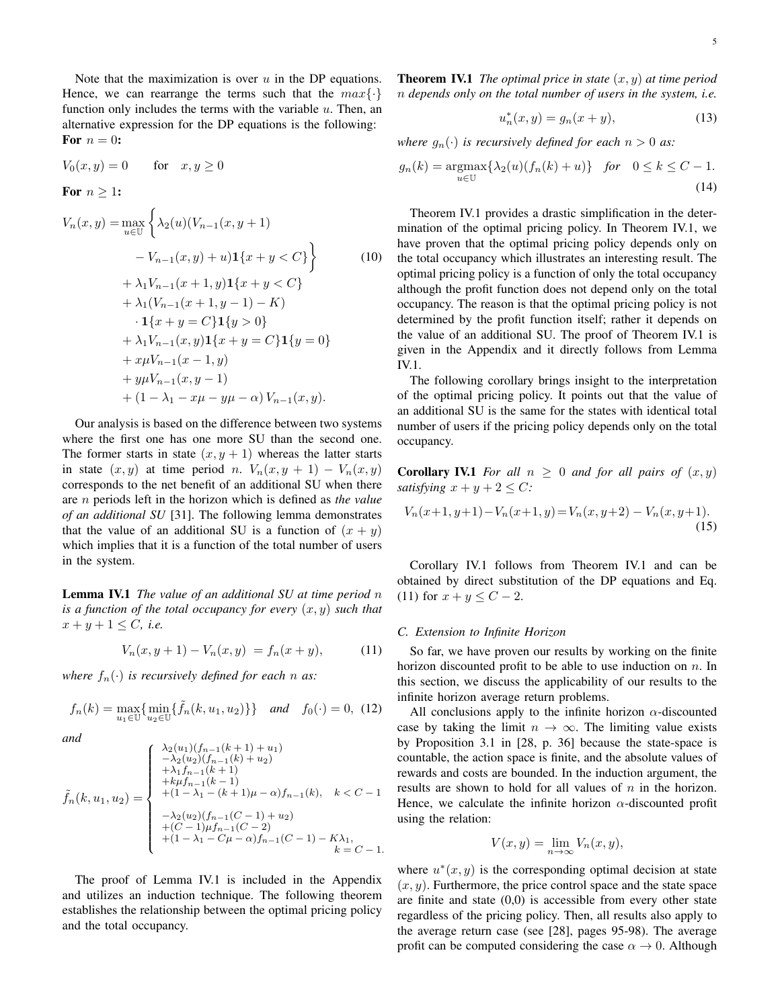Note that the maximization is over  $u$  in the DP equations. Hence, we can rearrange the terms such that the  $max\{\cdot\}$ function only includes the terms with the variable  $u$ . Then, an alternative expression for the DP equations is the following: For  $n = 0$ :

$$
V_0(x, y) = 0 \quad \text{for} \quad x, y \ge 0
$$

For 
$$
n \geq 1
$$
:

$$
V_n(x, y) = \max_{u \in U} \left\{ \lambda_2(u)(V_{n-1}(x, y+1))
$$
  
\n
$$
-V_{n-1}(x, y) + u) \mathbf{1}\{x + y < C\} \right\} \qquad (10)
$$
  
\n
$$
+ \lambda_1 V_{n-1}(x+1, y) \mathbf{1}\{x + y < C\}
$$
  
\n
$$
+ \lambda_1 (V_{n-1}(x+1, y-1) - K)
$$
  
\n
$$
\cdot \mathbf{1}\{x + y = C\} \mathbf{1}\{y > 0\}
$$
  
\n
$$
+ \lambda_1 V_{n-1}(x, y) \mathbf{1}\{x + y = C\} \mathbf{1}\{y = 0\}
$$
  
\n
$$
+ x\mu V_{n-1}(x-1, y)
$$
  
\n
$$
+ y\mu V_{n-1}(x, y-1)
$$
  
\n
$$
+ (1 - \lambda_1 - x\mu - y\mu - \alpha) V_{n-1}(x, y).
$$
 (10)

Our analysis is based on the difference between two systems where the first one has one more SU than the second one. The former starts in state  $(x, y + 1)$  whereas the latter starts in state  $(x, y)$  at time period n.  $V_n(x, y + 1) - V_n(x, y)$ corresponds to the net benefit of an additional SU when there are n periods left in the horizon which is defined as *the value of an additional SU* [31]. The following lemma demonstrates that the value of an additional SU is a function of  $(x + y)$ which implies that it is a function of the total number of users in the system.

Lemma IV.1 *The value of an additional SU at time period* n *is a function of the total occupancy for every*  $(x, y)$  *such that*  $x + y + 1 \leq C$ , *i.e.* 

$$
V_n(x, y+1) - V_n(x, y) = f_n(x+y), \tag{11}
$$

*where*  $f_n(\cdot)$  *is recursively defined for each n as:* 

$$
f_n(k) = \max_{u_1 \in \mathbb{U}} \{ \min_{u_2 \in \mathbb{U}} \{ \tilde{f}_n(k, u_1, u_2) \} \} \quad and \quad f_0(\cdot) = 0, \tag{12}
$$

*and*

$$
\tilde{f}_n(k, u_1, u_2) = \begin{cases}\n\frac{\lambda_2(u_1)(f_{n-1}(k+1) + u_1)}{-\lambda_2(u_2)(f_{n-1}(k) + u_2)} \\
\frac{+\lambda_1 f_{n-1}(k+1)}{+\lambda_1 f_{n-1}(k-1)} \\
\frac{+\mu_1 f_{n-1}(k-1)}{+\frac{1-\lambda_1-(k+1)\mu - \alpha}f_{n-1}(k)}, & k < C - 1 \\
\frac{-\lambda_2(u_2)(f_{n-1}(C-1) + u_2)}{+\frac{C - 1}{\mu_1 - 1}(C - 2)} \\
\frac{+\frac{C - 1}{\mu_1 - 1}(C-2)}{+\frac{C - 1}{\mu_1 - 1}(C - 1) - K\lambda_1}, & k = C - 1.\n\end{cases}
$$

The proof of Lemma IV.1 is included in the Appendix and utilizes an induction technique. The following theorem establishes the relationship between the optimal pricing policy and the total occupancy.

Theorem IV.1 *The optimal price in state* (x, y) *at time period* n *depends only on the total number of users in the system, i.e.*

$$
u_n^*(x, y) = g_n(x + y),
$$
 (13)

*where*  $g_n(\cdot)$  *is recursively defined for each*  $n > 0$  *as:* 

$$
g_n(k) = \underset{u \in \mathbb{U}}{\operatorname{argmax}} \{ \lambda_2(u)(f_n(k) + u) \} \quad \text{for} \quad 0 \le k \le C - 1.
$$
\n
$$
(14)
$$

Theorem IV.1 provides a drastic simplification in the determination of the optimal pricing policy. In Theorem IV.1, we have proven that the optimal pricing policy depends only on the total occupancy which illustrates an interesting result. The optimal pricing policy is a function of only the total occupancy although the profit function does not depend only on the total occupancy. The reason is that the optimal pricing policy is not determined by the profit function itself; rather it depends on the value of an additional SU. The proof of Theorem IV.1 is given in the Appendix and it directly follows from Lemma IV.1.

The following corollary brings insight to the interpretation of the optimal pricing policy. It points out that the value of an additional SU is the same for the states with identical total number of users if the pricing policy depends only on the total occupancy.

**Corollary IV.1** *For all*  $n \geq 0$  *and for all pairs of*  $(x, y)$ *satisfying*  $x + y + 2 \leq C$ *:* 

$$
V_n(x+1, y+1) - V_n(x+1, y) = V_n(x, y+2) - V_n(x, y+1).
$$
\n(15)

Corollary IV.1 follows from Theorem IV.1 and can be obtained by direct substitution of the DP equations and Eq. (11) for  $x + y \le C - 2$ .

# *C. Extension to Infinite Horizon*

So far, we have proven our results by working on the finite horizon discounted profit to be able to use induction on  $n$ . In this section, we discuss the applicability of our results to the infinite horizon average return problems.

All conclusions apply to the infinite horizon  $\alpha$ -discounted case by taking the limit  $n \to \infty$ . The limiting value exists by Proposition 3.1 in [28, p. 36] because the state-space is countable, the action space is finite, and the absolute values of rewards and costs are bounded. In the induction argument, the results are shown to hold for all values of  $n$  in the horizon. Hence, we calculate the infinite horizon  $\alpha$ -discounted profit using the relation:

$$
V(x, y) = \lim_{n \to \infty} V_n(x, y),
$$

where  $u^*(x, y)$  is the corresponding optimal decision at state  $(x, y)$ . Furthermore, the price control space and the state space are finite and state  $(0,0)$  is accessible from every other state regardless of the pricing policy. Then, all results also apply to the average return case (see [28], pages 95-98). The average profit can be computed considering the case  $\alpha \to 0$ . Although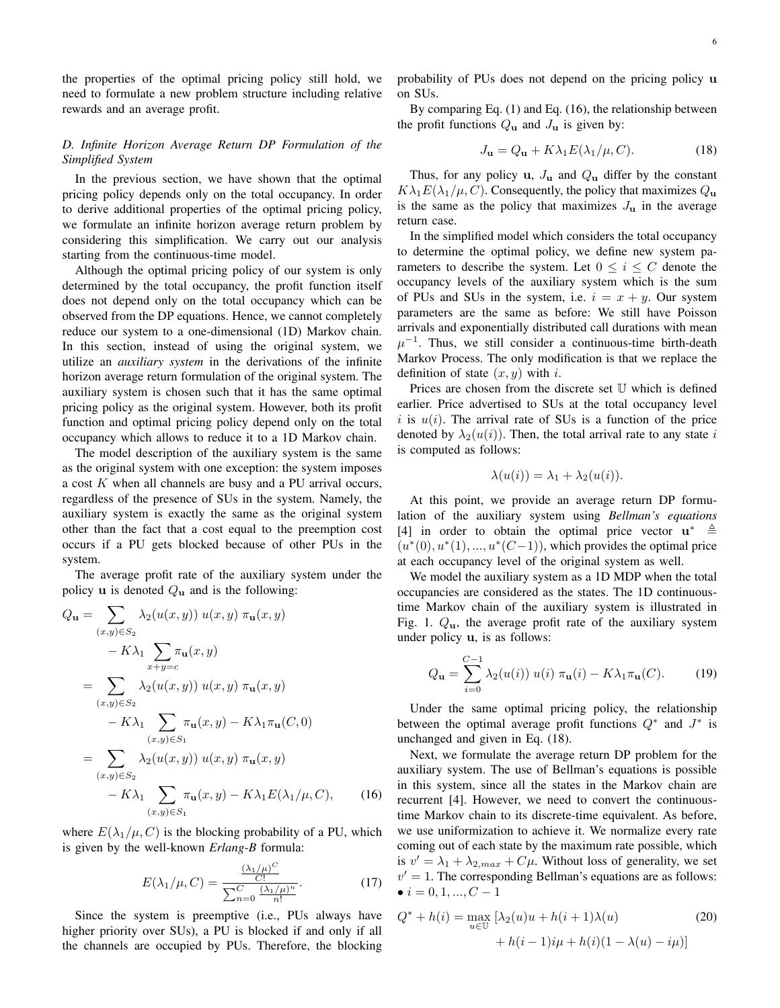the properties of the optimal pricing policy still hold, we need to formulate a new problem structure including relative rewards and an average profit.

# *D. Infinite Horizon Average Return DP Formulation of the Simplified System*

In the previous section, we have shown that the optimal pricing policy depends only on the total occupancy. In order to derive additional properties of the optimal pricing policy, we formulate an infinite horizon average return problem by considering this simplification. We carry out our analysis starting from the continuous-time model.

Although the optimal pricing policy of our system is only determined by the total occupancy, the profit function itself does not depend only on the total occupancy which can be observed from the DP equations. Hence, we cannot completely reduce our system to a one-dimensional (1D) Markov chain. In this section, instead of using the original system, we utilize an *auxiliary system* in the derivations of the infinite horizon average return formulation of the original system. The auxiliary system is chosen such that it has the same optimal pricing policy as the original system. However, both its profit function and optimal pricing policy depend only on the total occupancy which allows to reduce it to a 1D Markov chain.

The model description of the auxiliary system is the same as the original system with one exception: the system imposes a cost  $K$  when all channels are busy and a PU arrival occurs, regardless of the presence of SUs in the system. Namely, the auxiliary system is exactly the same as the original system other than the fact that a cost equal to the preemption cost occurs if a PU gets blocked because of other PUs in the system.

The average profit rate of the auxiliary system under the policy u is denoted  $Q_{\rm u}$  and is the following:

$$
Q_{\mathbf{u}} = \sum_{(x,y)\in S_2} \lambda_2(u(x,y)) u(x,y) \pi_{\mathbf{u}}(x,y)
$$
  
\n
$$
- K\lambda_1 \sum_{x+y=c} \pi_{\mathbf{u}}(x,y)
$$
  
\n
$$
= \sum_{(x,y)\in S_2} \lambda_2(u(x,y)) u(x,y) \pi_{\mathbf{u}}(x,y)
$$
  
\n
$$
- K\lambda_1 \sum_{(x,y)\in S_1} \pi_{\mathbf{u}}(x,y) - K\lambda_1 \pi_{\mathbf{u}}(C,0)
$$
  
\n
$$
= \sum_{(x,y)\in S_2} \lambda_2(u(x,y)) u(x,y) \pi_{\mathbf{u}}(x,y)
$$
  
\n
$$
- K\lambda_1 \sum_{(x,y)\in S_1} \pi_{\mathbf{u}}(x,y) - K\lambda_1 E(\lambda_1/\mu, C), \qquad (16)
$$

where  $E(\lambda_1/\mu, C)$  is the blocking probability of a PU, which is given by the well-known *Erlang-B* formula:

$$
E(\lambda_1/\mu, C) = \frac{\frac{(\lambda_1/\mu)^C}{C!}}{\sum_{n=0}^C \frac{(\lambda_1/\mu)^n}{n!}}.
$$
 (17)

Since the system is preemptive (i.e., PUs always have higher priority over SUs), a PU is blocked if and only if all the channels are occupied by PUs. Therefore, the blocking probability of PUs does not depend on the pricing policy u on SUs.

By comparing Eq. (1) and Eq. (16), the relationship between the profit functions  $Q_{\bf{u}}$  and  $J_{\bf{u}}$  is given by:

$$
J_{\mathbf{u}} = Q_{\mathbf{u}} + K\lambda_1 E(\lambda_1/\mu, C). \tag{18}
$$

Thus, for any policy u,  $J_{\mathbf{u}}$  and  $Q_{\mathbf{u}}$  differ by the constant  $K\lambda_1 E(\lambda_1/\mu, C)$ . Consequently, the policy that maximizes  $Q_{\mathbf{u}}$ is the same as the policy that maximizes  $J<sub>u</sub>$  in the average return case.

In the simplified model which considers the total occupancy to determine the optimal policy, we define new system parameters to describe the system. Let  $0 \le i \le C$  denote the occupancy levels of the auxiliary system which is the sum of PUs and SUs in the system, i.e.  $i = x + y$ . Our system parameters are the same as before: We still have Poisson arrivals and exponentially distributed call durations with mean  $\mu^{-1}$ . Thus, we still consider a continuous-time birth-death Markov Process. The only modification is that we replace the definition of state  $(x, y)$  with i.

Prices are chosen from the discrete set  $U$  which is defined earlier. Price advertised to SUs at the total occupancy level i is  $u(i)$ . The arrival rate of SUs is a function of the price denoted by  $\lambda_2(u(i))$ . Then, the total arrival rate to any state i is computed as follows:

$$
\lambda(u(i)) = \lambda_1 + \lambda_2(u(i)).
$$

At this point, we provide an average return DP formulation of the auxiliary system using *Bellman's equations* [4] in order to obtain the optimal price vector  $\mathbf{u}^* \triangleq$  $(u^*(0), u^*(1), ..., u^*(C-1))$ , which provides the optimal price at each occupancy level of the original system as well.

We model the auxiliary system as a 1D MDP when the total occupancies are considered as the states. The 1D continuoustime Markov chain of the auxiliary system is illustrated in Fig. 1.  $Q_{\mathbf{u}}$ , the average profit rate of the auxiliary system under policy u, is as follows:

$$
Q_{\mathbf{u}} = \sum_{i=0}^{C-1} \lambda_2(u(i)) u(i) \pi_{\mathbf{u}}(i) - K\lambda_1 \pi_{\mathbf{u}}(C). \tag{19}
$$

Under the same optimal pricing policy, the relationship between the optimal average profit functions  $Q^*$  and  $J^*$  is unchanged and given in Eq. (18).

Next, we formulate the average return DP problem for the auxiliary system. The use of Bellman's equations is possible in this system, since all the states in the Markov chain are recurrent [4]. However, we need to convert the continuoustime Markov chain to its discrete-time equivalent. As before, we use uniformization to achieve it. We normalize every rate coming out of each state by the maximum rate possible, which is  $v' = \lambda_1 + \lambda_{2,max} + C\mu$ . Without loss of generality, we set  $v' = 1$ . The corresponding Bellman's equations are as follows: •  $i = 0, 1, ..., C - 1$ 

$$
Q^* + h(i) = \max_{u \in U} \left[ \lambda_2(u)u + h(i+1)\lambda(u) \right] + h(i-1)i\mu + h(i)(1 - \lambda(u) - i\mu)
$$
(20)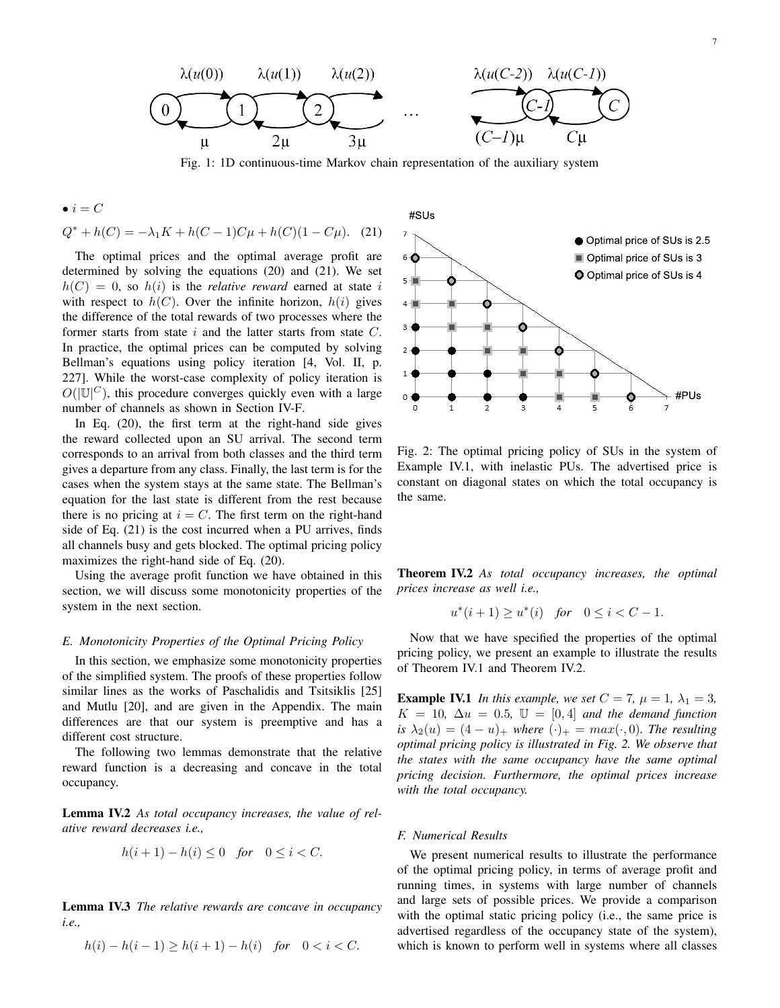

Fig. 1: 1D continuous-time Markov chain representation of the auxiliary system

• 
$$
i = C
$$
  
 $Q^* + h(C) = -\lambda_1 K + h(C - 1)C\mu + h(C)(1 - C\mu).$  (21)

The optimal prices and the optimal average profit are determined by solving the equations (20) and (21). We set  $h(C) = 0$ , so  $h(i)$  is the *relative reward* earned at state i with respect to  $h(C)$ . Over the infinite horizon,  $h(i)$  gives the difference of the total rewards of two processes where the former starts from state  $i$  and the latter starts from state  $C$ . In practice, the optimal prices can be computed by solving Bellman's equations using policy iteration [4, Vol. II, p. 227]. While the worst-case complexity of policy iteration is  $O(|\mathbb{U}|^C)$ , this procedure converges quickly even with a large number of channels as shown in Section IV-F.

In Eq. (20), the first term at the right-hand side gives the reward collected upon an SU arrival. The second term corresponds to an arrival from both classes and the third term gives a departure from any class. Finally, the last term is for the cases when the system stays at the same state. The Bellman's equation for the last state is different from the rest because there is no pricing at  $i = C$ . The first term on the right-hand side of Eq. (21) is the cost incurred when a PU arrives, finds all channels busy and gets blocked. The optimal pricing policy maximizes the right-hand side of Eq. (20).

Using the average profit function we have obtained in this section, we will discuss some monotonicity properties of the system in the next section.

#### *E. Monotonicity Properties of the Optimal Pricing Policy*

In this section, we emphasize some monotonicity properties of the simplified system. The proofs of these properties follow similar lines as the works of Paschalidis and Tsitsiklis [25] and Mutlu [20], and are given in the Appendix. The main differences are that our system is preemptive and has a different cost structure.

The following two lemmas demonstrate that the relative reward function is a decreasing and concave in the total occupancy.

Lemma IV.2 *As total occupancy increases, the value of relative reward decreases i.e.,*

$$
h(i+1) - h(i) \le 0 \quad \text{for} \quad 0 \le i < C.
$$

Lemma IV.3 *The relative rewards are concave in occupancy i.e.,*

$$
h(i) - h(i-1) \ge h(i+1) - h(i) \quad \text{for} \quad 0 < i < C.
$$



Fig. 2: The optimal pricing policy of SUs in the system of Example IV.1, with inelastic PUs. The advertised price is constant on diagonal states on which the total occupancy is the same.

Theorem IV.2 *As total occupancy increases, the optimal prices increase as well i.e.,*

$$
u^*(i+1) \ge u^*(i) \quad \text{for} \quad 0 \le i < C - 1.
$$

Now that we have specified the properties of the optimal pricing policy, we present an example to illustrate the results of Theorem IV.1 and Theorem IV.2.

**Example IV.1** *In this example, we set*  $C = 7$ ,  $\mu = 1$ ,  $\lambda_1 = 3$ ,  $K = 10$ ,  $\Delta u = 0.5$ ,  $\mathbb{U} = [0, 4]$  *and the demand function is*  $\lambda_2(u) = (4 - u)_+$  *where*  $(\cdot)_+ = max(\cdot, 0)$ *. The resulting optimal pricing policy is illustrated in Fig. 2. We observe that the states with the same occupancy have the same optimal pricing decision. Furthermore, the optimal prices increase with the total occupancy.*

#### *F. Numerical Results*

We present numerical results to illustrate the performance of the optimal pricing policy, in terms of average profit and running times, in systems with large number of channels and large sets of possible prices. We provide a comparison with the optimal static pricing policy (i.e., the same price is advertised regardless of the occupancy state of the system), which is known to perform well in systems where all classes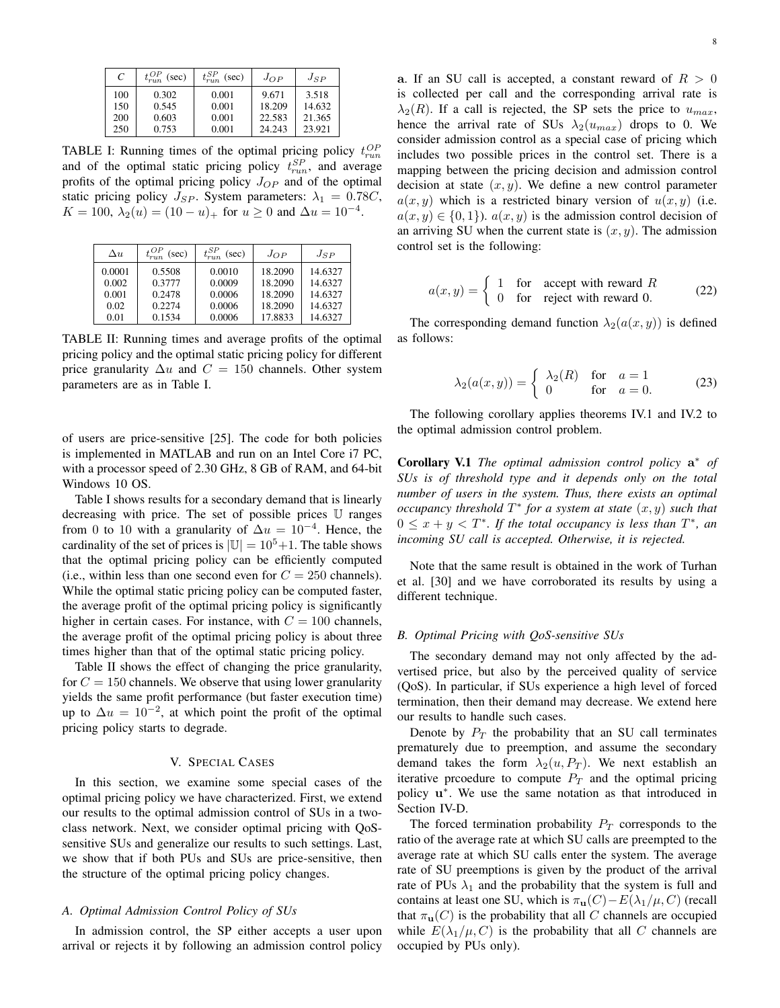| C   | $t_{run}^{OP}$ (sec) | $t_{run}^{SP}$ (sec) | $J_{OP}$ | $J_{SP}$ |
|-----|----------------------|----------------------|----------|----------|
| 100 | 0.302                | 0.001                | 9.671    | 3.518    |
| 150 | 0.545                | 0.001                | 18.209   | 14.632   |
| 200 | 0.603                | 0.001                | 22.583   | 21.365   |
| 250 | 0.753                | 0.001                | 24.243   | 23.921   |

TABLE I: Running times of the optimal pricing policy  $t_{run}^{OP}$ and of the optimal static pricing policy  $t_{run}^{SP}$ , and average profits of the optimal pricing policy  $J_{OP}$  and of the optimal static pricing policy  $J_{SP}$ . System parameters:  $\lambda_1 = 0.78C$ ,  $K = 100, \, \lambda_2(u) = (10 - u)_+$  for  $u \ge 0$  and  $\Delta u = 10^{-4}$ .

| $\Delta u$ | (sec)  | $t^{SP}_{run}$<br>(sec) | $J_{OP}$ | $J_{SP}$ |
|------------|--------|-------------------------|----------|----------|
| 0.0001     | 0.5508 | 0.0010                  | 18.2090  | 14.6327  |
| 0.002      | 0.3777 | 0.0009                  | 18.2090  | 14.6327  |
| 0.001      | 0.2478 | 0.0006                  | 18.2090  | 14.6327  |
| 0.02       | 0.2274 | 0.0006                  | 18.2090  | 14.6327  |
| 0.01       | 0.1534 | 0.0006                  | 17.8833  | 14.6327  |

TABLE II: Running times and average profits of the optimal pricing policy and the optimal static pricing policy for different price granularity  $\Delta u$  and  $C = 150$  channels. Other system parameters are as in Table I.

of users are price-sensitive [25]. The code for both policies is implemented in MATLAB and run on an Intel Core i7 PC, with a processor speed of 2.30 GHz, 8 GB of RAM, and 64-bit Windows 10 OS.

Table I shows results for a secondary demand that is linearly decreasing with price. The set of possible prices U ranges from 0 to 10 with a granularity of  $\Delta u = 10^{-4}$ . Hence, the cardinality of the set of prices is  $|\mathbb{U}| = 10^5 + 1$ . The table shows that the optimal pricing policy can be efficiently computed (i.e., within less than one second even for  $C = 250$  channels). While the optimal static pricing policy can be computed faster, the average profit of the optimal pricing policy is significantly higher in certain cases. For instance, with  $C = 100$  channels, the average profit of the optimal pricing policy is about three times higher than that of the optimal static pricing policy.

Table II shows the effect of changing the price granularity, for  $C = 150$  channels. We observe that using lower granularity yields the same profit performance (but faster execution time) up to  $\Delta u = 10^{-2}$ , at which point the profit of the optimal pricing policy starts to degrade.

#### V. SPECIAL CASES

In this section, we examine some special cases of the optimal pricing policy we have characterized. First, we extend our results to the optimal admission control of SUs in a twoclass network. Next, we consider optimal pricing with QoSsensitive SUs and generalize our results to such settings. Last, we show that if both PUs and SUs are price-sensitive, then the structure of the optimal pricing policy changes.

# *A. Optimal Admission Control Policy of SUs*

In admission control, the SP either accepts a user upon arrival or rejects it by following an admission control policy a. If an SU call is accepted, a constant reward of  $R > 0$ is collected per call and the corresponding arrival rate is  $\lambda_2(R)$ . If a call is rejected, the SP sets the price to  $u_{max}$ , hence the arrival rate of SUs  $\lambda_2(u_{max})$  drops to 0. We consider admission control as a special case of pricing which includes two possible prices in the control set. There is a mapping between the pricing decision and admission control decision at state  $(x, y)$ . We define a new control parameter  $a(x, y)$  which is a restricted binary version of  $u(x, y)$  (i.e.  $a(x, y) \in \{0, 1\}$ .  $a(x, y)$  is the admission control decision of an arriving SU when the current state is  $(x, y)$ . The admission control set is the following:

$$
a(x, y) = \begin{cases} 1 & \text{for } \text{ accept with reward } R \\ 0 & \text{for } \text{ reject with reward } 0. \end{cases}
$$
 (22)

The corresponding demand function  $\lambda_2(a(x, y))$  is defined as follows:

$$
\lambda_2(a(x,y)) = \begin{cases} \lambda_2(R) & \text{for } a = 1\\ 0 & \text{for } a = 0. \end{cases}
$$
 (23)

The following corollary applies theorems IV.1 and IV.2 to the optimal admission control problem.

Corollary V.1 *The optimal admission control policy* a <sup>∗</sup> *of SUs is of threshold type and it depends only on the total number of users in the system. Thus, there exists an optimal occupancy threshold*  $T^*$  *for a system at state*  $(x, y)$  *such that*  $0 \leq x + y < T^*$ . If the total occupancy is less than  $T^*$ , an *incoming SU call is accepted. Otherwise, it is rejected.*

Note that the same result is obtained in the work of Turhan et al. [30] and we have corroborated its results by using a different technique.

# *B. Optimal Pricing with QoS-sensitive SUs*

The secondary demand may not only affected by the advertised price, but also by the perceived quality of service (QoS). In particular, if SUs experience a high level of forced termination, then their demand may decrease. We extend here our results to handle such cases.

Denote by  $P_T$  the probability that an SU call terminates prematurely due to preemption, and assume the secondary demand takes the form  $\lambda_2(u, P_T)$ . We next establish an iterative prcoedure to compute  $P_T$  and the optimal pricing policy  $u^*$ . We use the same notation as that introduced in Section IV-D.

The forced termination probability  $P_T$  corresponds to the ratio of the average rate at which SU calls are preempted to the average rate at which SU calls enter the system. The average rate of SU preemptions is given by the product of the arrival rate of PUs  $\lambda_1$  and the probability that the system is full and contains at least one SU, which is  $\pi_{\mathbf{u}}(C) - E(\lambda_1/\mu, C)$  (recall that  $\pi_{\mathbf{u}}(C)$  is the probability that all C channels are occupied while  $E(\lambda_1/\mu, C)$  is the probability that all C channels are occupied by PUs only).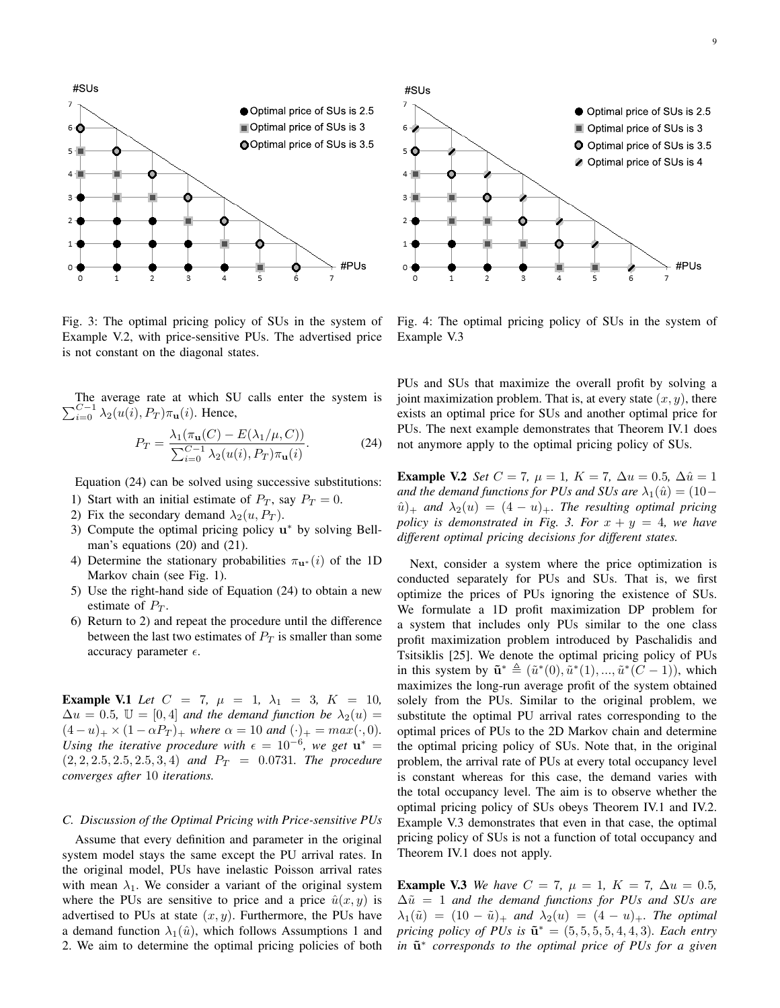

Fig. 3: The optimal pricing policy of SUs in the system of Example V.2, with price-sensitive PUs. The advertised price is not constant on the diagonal states.

 $\sum$ The average rate at which SU calls enter the system is  $C-1 \atop i=0}$   $\lambda_2(u(i), P_T) \pi_{\mathbf{u}}(i)$ . Hence,

$$
P_T = \frac{\lambda_1(\pi_\mathbf{u}(C) - E(\lambda_1/\mu, C))}{\sum_{i=0}^{C-1} \lambda_2(u(i), P_T) \pi_\mathbf{u}(i)}.
$$
 (24)

Equation (24) can be solved using successive substitutions:

- 1) Start with an initial estimate of  $P_T$ , say  $P_T = 0$ .
- 2) Fix the secondary demand  $\lambda_2(u, P_T)$ .
- 3) Compute the optimal pricing policy  $u^*$  by solving Bellman's equations (20) and (21).
- 4) Determine the stationary probabilities  $\pi_{\mathbf{u}^*}(i)$  of the 1D Markov chain (see Fig. 1).
- 5) Use the right-hand side of Equation (24) to obtain a new estimate of  $P_T$ .
- 6) Return to 2) and repeat the procedure until the difference between the last two estimates of  $P_T$  is smaller than some accuracy parameter  $\epsilon$ .

Example V.1 Let  $C = 7$ ,  $\mu = 1$ ,  $\lambda_1 = 3$ ,  $K = 10$ ,  $\Delta u = 0.5$ ,  $\mathbb{U} = [0, 4]$  *and the demand function be*  $\lambda_2(u) =$  $(4-u)_{+} \times (1-\alpha P_{T})_{+}$  *where*  $\alpha = 10$  *and*  $(\cdot)_{+} = max(\cdot, 0)$ *. Using the iterative procedure with*  $\epsilon = 10^{-6}$ *, we get*  $\mathbf{u}^* =$  $(2, 2, 2.5, 2.5, 2.5, 3, 4)$  *and*  $P_T = 0.0731$ *. The procedure converges after* 10 *iterations.*

# *C. Discussion of the Optimal Pricing with Price-sensitive PUs*

Assume that every definition and parameter in the original system model stays the same except the PU arrival rates. In the original model, PUs have inelastic Poisson arrival rates with mean  $\lambda_1$ . We consider a variant of the original system where the PUs are sensitive to price and a price  $\hat{u}(x, y)$  is advertised to PUs at state  $(x, y)$ . Furthermore, the PUs have a demand function  $\lambda_1(\hat{u})$ , which follows Assumptions 1 and 2. We aim to determine the optimal pricing policies of both



Fig. 4: The optimal pricing policy of SUs in the system of Example V.3

PUs and SUs that maximize the overall profit by solving a joint maximization problem. That is, at every state  $(x, y)$ , there exists an optimal price for SUs and another optimal price for PUs. The next example demonstrates that Theorem IV.1 does not anymore apply to the optimal pricing policy of SUs.

**Example V.2** *Set*  $C = 7$ *,*  $\mu = 1$ *,*  $K = 7$ *,*  $\Delta u = 0.5$ *,*  $\Delta \hat{u} = 1$ *and the demand functions for PUs and SUs are*  $\lambda_1(\hat{u}) = (10 (u^{\hat{u}})_+$  *and*  $\lambda_2(u) = (4 - u)_+$ *. The resulting optimal pricing policy is demonstrated in Fig. 3. For*  $x + y = 4$ *, we have different optimal pricing decisions for different states.*

Next, consider a system where the price optimization is conducted separately for PUs and SUs. That is, we first optimize the prices of PUs ignoring the existence of SUs. We formulate a 1D profit maximization DP problem for a system that includes only PUs similar to the one class profit maximization problem introduced by Paschalidis and Tsitsiklis [25]. We denote the optimal pricing policy of PUs in this system by  $\tilde{\mathbf{u}}^* \triangleq (\tilde{u}^*(0), \tilde{u}^*(1), ..., \tilde{u}^*(C-1)),$  which maximizes the long-run average profit of the system obtained solely from the PUs. Similar to the original problem, we substitute the optimal PU arrival rates corresponding to the optimal prices of PUs to the 2D Markov chain and determine the optimal pricing policy of SUs. Note that, in the original problem, the arrival rate of PUs at every total occupancy level is constant whereas for this case, the demand varies with the total occupancy level. The aim is to observe whether the optimal pricing policy of SUs obeys Theorem IV.1 and IV.2. Example V.3 demonstrates that even in that case, the optimal pricing policy of SUs is not a function of total occupancy and Theorem IV.1 does not apply.

**Example V.3** *We have*  $C = 7$ ,  $\mu = 1$ ,  $K = 7$ ,  $\Delta u = 0.5$ ,  $\Delta \tilde{u} = 1$  *and the demand functions for PUs and SUs are*  $\lambda_1(\tilde{u}) = (10 - \tilde{u})_+$  *and*  $\lambda_2(u) = (4 - u)_+$ *. The optimal pricing policy of PUs is*  $\tilde{\mathbf{u}}^* = (5, 5, 5, 5, 4, 4, 3)$ *. Each entry in*  $\tilde{u}^*$  corresponds to the optimal price of PUs for a given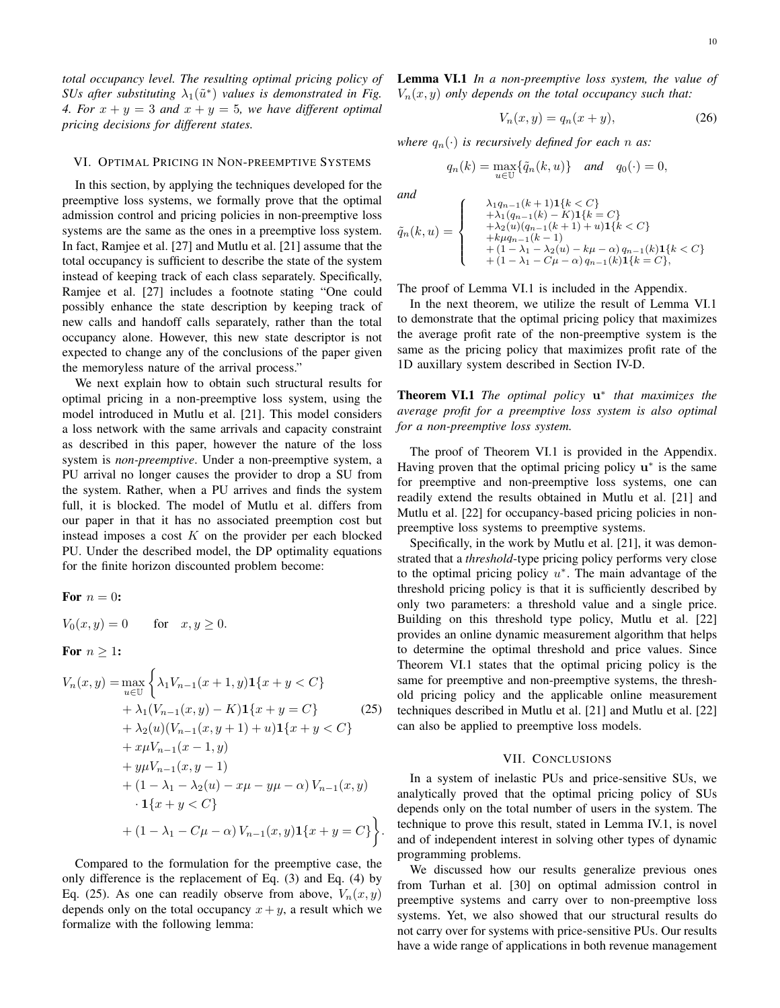*total occupancy level. The resulting optimal pricing policy of SUs after substituting*  $\lambda_1(\tilde{u}^*)$  *values is demonstrated in Fig. 4. For*  $x + y = 3$  *and*  $x + y = 5$ *, we have different optimal pricing decisions for different states.*

#### VI. OPTIMAL PRICING IN NON-PREEMPTIVE SYSTEMS

In this section, by applying the techniques developed for the preemptive loss systems, we formally prove that the optimal admission control and pricing policies in non-preemptive loss systems are the same as the ones in a preemptive loss system. In fact, Ramjee et al. [27] and Mutlu et al. [21] assume that the total occupancy is sufficient to describe the state of the system instead of keeping track of each class separately. Specifically, Ramjee et al. [27] includes a footnote stating "One could possibly enhance the state description by keeping track of new calls and handoff calls separately, rather than the total occupancy alone. However, this new state descriptor is not expected to change any of the conclusions of the paper given the memoryless nature of the arrival process."

We next explain how to obtain such structural results for optimal pricing in a non-preemptive loss system, using the model introduced in Mutlu et al. [21]. This model considers a loss network with the same arrivals and capacity constraint as described in this paper, however the nature of the loss system is *non-preemptive*. Under a non-preemptive system, a PU arrival no longer causes the provider to drop a SU from the system. Rather, when a PU arrives and finds the system full, it is blocked. The model of Mutlu et al. differs from our paper in that it has no associated preemption cost but instead imposes a cost  $K$  on the provider per each blocked PU. Under the described model, the DP optimality equations for the finite horizon discounted problem become:

For 
$$
n = 0
$$
:  
\n
$$
V_0(x, y) = 0 \quad \text{for} \quad x, y \ge 0.
$$
\nFor  $n \ge 1$ :  
\n
$$
V_n(x, y) = \max_{u \in U} \left\{ \lambda_1 V_{n-1}(x+1, y) \mathbf{1}\{x+y < C\} + \lambda_1 (V_{n-1}(x, y) - K) \mathbf{1}\{x+y = C\} \right\}
$$
\n
$$
+ \lambda_2(u) (V_{n-1}(x, y+1) + u) \mathbf{1}\{x+y < C\} + x\mu V_{n-1}(x-1, y) + y\mu V_{n-1}(x, y-1) + (1 - \lambda_1 - \lambda_2(u) - x\mu - y\mu - \alpha) V_{n-1}(x, y)
$$

$$
\begin{aligned} \mathbf{1}\{x+y < C\} \\ &+ (1 - \lambda_1 - C\mu - \alpha) \, V_{n-1}(x, y) \mathbf{1}\{x+y = C\} \bigg\} . \end{aligned}
$$

 $(x, y)$ 

Compared to the formulation for the preemptive case, the only difference is the replacement of Eq. (3) and Eq. (4) by Eq. (25). As one can readily observe from above,  $V_n(x, y)$ depends only on the total occupancy  $x + y$ , a result which we formalize with the following lemma:

Lemma VI.1 *In a non-preemptive loss system, the value of*  $V_n(x, y)$  *only depends on the total occupancy such that:* 

$$
V_n(x,y) = q_n(x+y),\tag{26}
$$

*where*  $q_n(\cdot)$  *is recursively defined for each n as:* 

$$
q_n(k) = \max_{u \in \mathbb{U}} \{ \tilde{q}_n(k, u) \} \quad \text{and} \quad q_0(\cdot) = 0,
$$

*and*

$$
\tilde{q}_n(k, u) = \begin{cases}\n\lambda_1 q_{n-1}(k+1) \mathbf{1}\{k < C\} \\
+ \lambda_1 (q_{n-1}(k) - K) \mathbf{1}\{k = C\} \\
+ \lambda_2 (u)(q_{n-1}(k+1) + u) \mathbf{1}\{k < C\} \\
+ k \mu q_{n-1}(k-1) \\
+ (1 - \lambda_1 - \lambda_2(u) - k\mu - \alpha) q_{n-1}(k) \mathbf{1}\{k < C\} \\
+ (1 - \lambda_1 - C\mu - \alpha) q_{n-1}(k) \mathbf{1}\{k = C\},\n\end{cases}
$$

The proof of Lemma VI.1 is included in the Appendix.

In the next theorem, we utilize the result of Lemma VI.1 to demonstrate that the optimal pricing policy that maximizes the average profit rate of the non-preemptive system is the same as the pricing policy that maximizes profit rate of the 1D auxillary system described in Section IV-D.

Theorem VI.1 *The optimal policy* u ∗ *that maximizes the average profit for a preemptive loss system is also optimal for a non-preemptive loss system.*

The proof of Theorem VI.1 is provided in the Appendix. Having proven that the optimal pricing policy  $u^*$  is the same for preemptive and non-preemptive loss systems, one can readily extend the results obtained in Mutlu et al. [21] and Mutlu et al. [22] for occupancy-based pricing policies in nonpreemptive loss systems to preemptive systems.

Specifically, in the work by Mutlu et al. [21], it was demonstrated that a *threshold*-type pricing policy performs very close to the optimal pricing policy  $u^*$ . The main advantage of the threshold pricing policy is that it is sufficiently described by only two parameters: a threshold value and a single price. Building on this threshold type policy, Mutlu et al. [22] provides an online dynamic measurement algorithm that helps to determine the optimal threshold and price values. Since Theorem VI.1 states that the optimal pricing policy is the same for preemptive and non-preemptive systems, the threshold pricing policy and the applicable online measurement techniques described in Mutlu et al. [21] and Mutlu et al. [22] can also be applied to preemptive loss models.

#### VII. CONCLUSIONS

In a system of inelastic PUs and price-sensitive SUs, we analytically proved that the optimal pricing policy of SUs depends only on the total number of users in the system. The technique to prove this result, stated in Lemma IV.1, is novel and of independent interest in solving other types of dynamic programming problems.

We discussed how our results generalize previous ones from Turhan et al. [30] on optimal admission control in preemptive systems and carry over to non-preemptive loss systems. Yet, we also showed that our structural results do not carry over for systems with price-sensitive PUs. Our results have a wide range of applications in both revenue management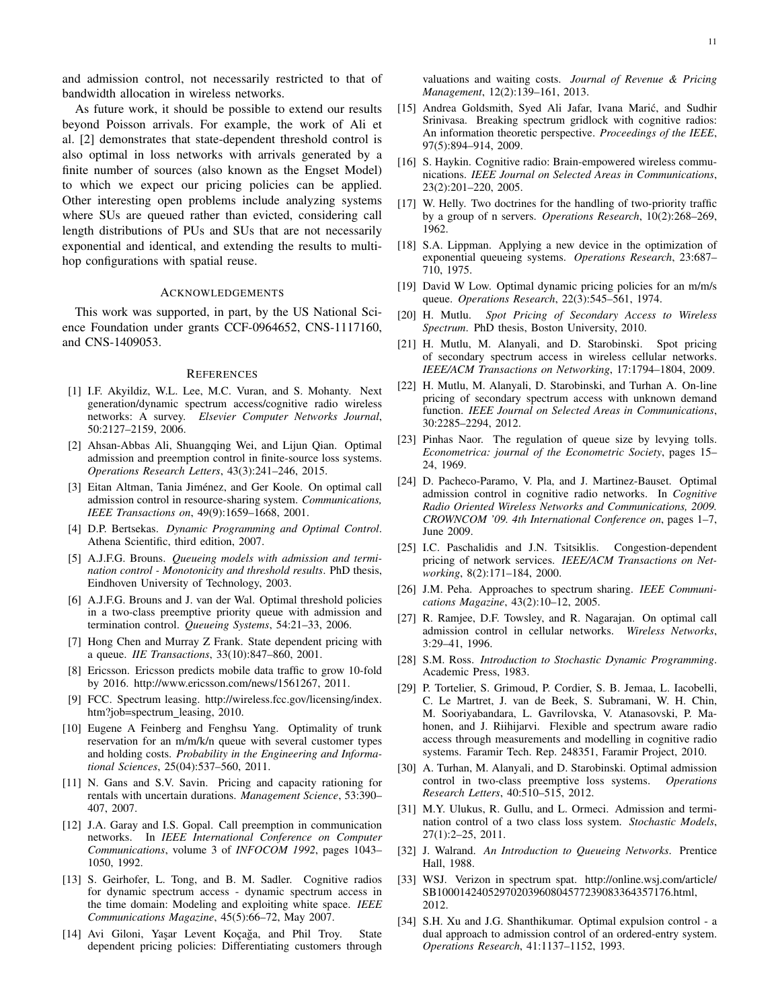and admission control, not necessarily restricted to that of bandwidth allocation in wireless networks.

As future work, it should be possible to extend our results beyond Poisson arrivals. For example, the work of Ali et al. [2] demonstrates that state-dependent threshold control is also optimal in loss networks with arrivals generated by a finite number of sources (also known as the Engset Model) to which we expect our pricing policies can be applied. Other interesting open problems include analyzing systems where SUs are queued rather than evicted, considering call length distributions of PUs and SUs that are not necessarily exponential and identical, and extending the results to multihop configurations with spatial reuse.

## ACKNOWLEDGEMENTS

This work was supported, in part, by the US National Science Foundation under grants CCF-0964652, CNS-1117160, and CNS-1409053.

#### **REFERENCES**

- [1] I.F. Akyildiz, W.L. Lee, M.C. Vuran, and S. Mohanty. Next generation/dynamic spectrum access/cognitive radio wireless networks: A survey. *Elsevier Computer Networks Journal*, 50:2127–2159, 2006.
- [2] Ahsan-Abbas Ali, Shuangqing Wei, and Lijun Qian. Optimal admission and preemption control in finite-source loss systems. *Operations Research Letters*, 43(3):241–246, 2015.
- [3] Eitan Altman, Tania Jiménez, and Ger Koole. On optimal call admission control in resource-sharing system. *Communications, IEEE Transactions on*, 49(9):1659–1668, 2001.
- [4] D.P. Bertsekas. *Dynamic Programming and Optimal Control*. Athena Scientific, third edition, 2007.
- [5] A.J.F.G. Brouns. *Queueing models with admission and termination control - Monotonicity and threshold results*. PhD thesis, Eindhoven University of Technology, 2003.
- [6] A.J.F.G. Brouns and J. van der Wal. Optimal threshold policies in a two-class preemptive priority queue with admission and termination control. *Queueing Systems*, 54:21–33, 2006.
- [7] Hong Chen and Murray Z Frank. State dependent pricing with a queue. *IIE Transactions*, 33(10):847–860, 2001.
- [8] Ericsson. Ericsson predicts mobile data traffic to grow 10-fold by 2016. http://www.ericsson.com/news/1561267, 2011.
- [9] FCC. Spectrum leasing. http://wireless.fcc.gov/licensing/index. htm?job=spectrum leasing, 2010.
- [10] Eugene A Feinberg and Fenghsu Yang. Optimality of trunk reservation for an m/m/k/n queue with several customer types and holding costs. *Probability in the Engineering and Informational Sciences*, 25(04):537–560, 2011.
- [11] N. Gans and S.V. Savin. Pricing and capacity rationing for rentals with uncertain durations. *Management Science*, 53:390– 407, 2007.
- [12] J.A. Garay and I.S. Gopal. Call preemption in communication networks. In *IEEE International Conference on Computer Communications*, volume 3 of *INFOCOM 1992*, pages 1043– 1050, 1992.
- [13] S. Geirhofer, L. Tong, and B. M. Sadler. Cognitive radios for dynamic spectrum access - dynamic spectrum access in the time domain: Modeling and exploiting white space. *IEEE Communications Magazine*, 45(5):66–72, May 2007.
- [14] Avi Giloni, Yaşar Levent Koçağa, and Phil Troy. State dependent pricing policies: Differentiating customers through

valuations and waiting costs. *Journal of Revenue & Pricing Management*, 12(2):139–161, 2013.

- [15] Andrea Goldsmith, Syed Ali Jafar, Ivana Marić, and Sudhir Srinivasa. Breaking spectrum gridlock with cognitive radios: An information theoretic perspective. *Proceedings of the IEEE*, 97(5):894–914, 2009.
- [16] S. Haykin. Cognitive radio: Brain-empowered wireless communications. *IEEE Journal on Selected Areas in Communications*, 23(2):201–220, 2005.
- [17] W. Helly. Two doctrines for the handling of two-priority traffic by a group of n servers. *Operations Research*, 10(2):268–269, 1962.
- [18] S.A. Lippman. Applying a new device in the optimization of exponential queueing systems. *Operations Research*, 23:687– 710, 1975.
- [19] David W Low. Optimal dynamic pricing policies for an m/m/s queue. *Operations Research*, 22(3):545–561, 1974.
- [20] H. Mutlu. *Spot Pricing of Secondary Access to Wireless Spectrum*. PhD thesis, Boston University, 2010.
- [21] H. Mutlu, M. Alanyali, and D. Starobinski. Spot pricing of secondary spectrum access in wireless cellular networks. *IEEE/ACM Transactions on Networking*, 17:1794–1804, 2009.
- [22] H. Mutlu, M. Alanyali, D. Starobinski, and Turhan A. On-line pricing of secondary spectrum access with unknown demand function. *IEEE Journal on Selected Areas in Communications*, 30:2285–2294, 2012.
- [23] Pinhas Naor. The regulation of queue size by levying tolls. *Econometrica: journal of the Econometric Society*, pages 15– 24, 1969.
- [24] D. Pacheco-Paramo, V. Pla, and J. Martinez-Bauset. Optimal admission control in cognitive radio networks. In *Cognitive Radio Oriented Wireless Networks and Communications, 2009. CROWNCOM '09. 4th International Conference on*, pages 1–7, June 2009.
- [25] I.C. Paschalidis and J.N. Tsitsiklis. Congestion-dependent pricing of network services. *IEEE/ACM Transactions on Networking*, 8(2):171–184, 2000.
- [26] J.M. Peha. Approaches to spectrum sharing. *IEEE Communications Magazine*, 43(2):10–12, 2005.
- [27] R. Ramjee, D.F. Towsley, and R. Nagarajan. On optimal call admission control in cellular networks. *Wireless Networks*, 3:29–41, 1996.
- [28] S.M. Ross. *Introduction to Stochastic Dynamic Programming*. Academic Press, 1983.
- [29] P. Tortelier, S. Grimoud, P. Cordier, S. B. Jemaa, L. Iacobelli, C. Le Martret, J. van de Beek, S. Subramani, W. H. Chin, M. Sooriyabandara, L. Gavrilovska, V. Atanasovski, P. Mahonen, and J. Riihijarvi. Flexible and spectrum aware radio access through measurements and modelling in cognitive radio systems. Faramir Tech. Rep. 248351, Faramir Project, 2010.
- [30] A. Turhan, M. Alanyali, and D. Starobinski. Optimal admission control in two-class preemptive loss systems. *Operations Research Letters*, 40:510–515, 2012.
- [31] M.Y. Ulukus, R. Gullu, and L. Ormeci. Admission and termination control of a two class loss system. *Stochastic Models*, 27(1):2–25, 2011.
- [32] J. Walrand. *An Introduction to Queueing Networks*. Prentice Hall, 1988.
- [33] WSJ. Verizon in spectrum spat. http://online.wsj.com/article/ SB10001424052970203960804577239083364357176.html, 2012.
- [34] S.H. Xu and J.G. Shanthikumar. Optimal expulsion control a dual approach to admission control of an ordered-entry system. *Operations Research*, 41:1137–1152, 1993.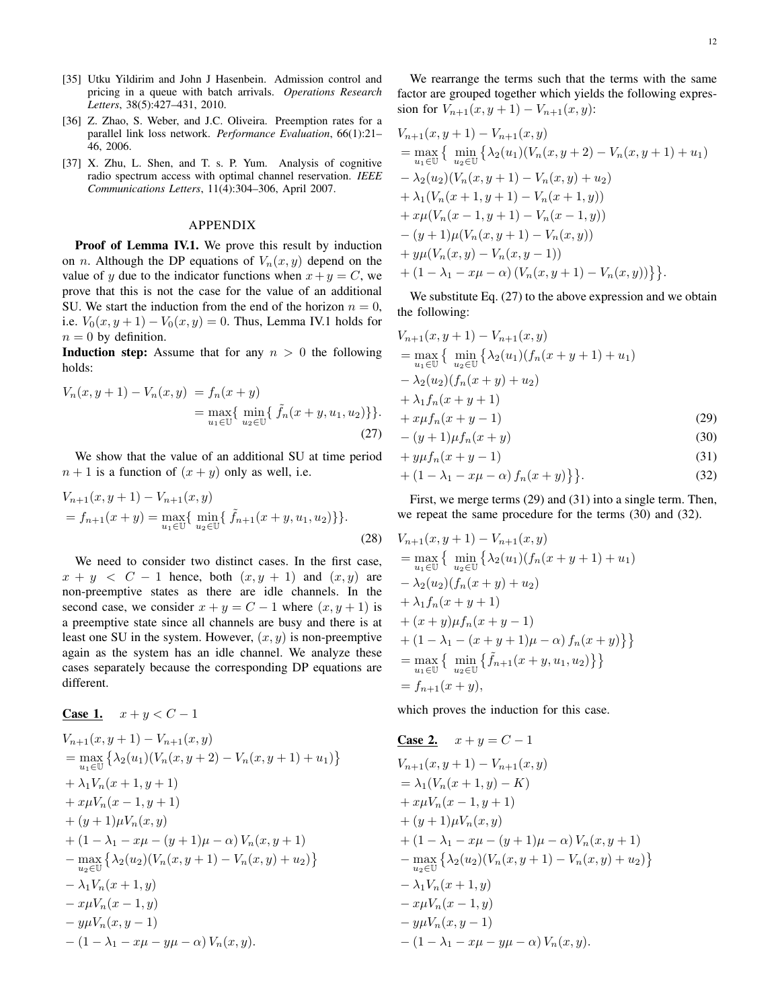- [35] Utku Yildirim and John J Hasenbein. Admission control and pricing in a queue with batch arrivals. *Operations Research Letters*, 38(5):427–431, 2010.
- [36] Z. Zhao, S. Weber, and J.C. Oliveira. Preemption rates for a parallel link loss network. *Performance Evaluation*, 66(1):21– 46, 2006.
- [37] X. Zhu, L. Shen, and T. s. P. Yum. Analysis of cognitive radio spectrum access with optimal channel reservation. *IEEE Communications Letters*, 11(4):304–306, April 2007.

#### APPENDIX

Proof of Lemma IV.1. We prove this result by induction on *n*. Although the DP equations of  $V_n(x, y)$  depend on the value of y due to the indicator functions when  $x+y = C$ , we prove that this is not the case for the value of an additional SU. We start the induction from the end of the horizon  $n = 0$ , i.e.  $V_0(x, y + 1) - V_0(x, y) = 0$ . Thus, Lemma IV.1 holds for  $n = 0$  by definition.

**Induction step:** Assume that for any  $n > 0$  the following holds:

$$
V_n(x, y+1) - V_n(x, y) = f_n(x+y)
$$
  
= 
$$
\max_{u_1 \in \mathbb{U}} \{ \min_{u_2 \in \mathbb{U}} \{ \tilde{f}_n(x+y, u_1, u_2) \} \}.
$$
  
(27)

We show that the value of an additional SU at time period  $n + 1$  is a function of  $(x + y)$  only as well, i.e.

$$
V_{n+1}(x, y+1) - V_{n+1}(x, y)
$$
  
=  $f_{n+1}(x+y) = \max_{u_1 \in \mathbb{U}} \{ \min_{u_2 \in \mathbb{U}} \{ \tilde{f}_{n+1}(x+y, u_1, u_2) \} \}.$  (28)

We need to consider two distinct cases. In the first case,  $x + y < C - 1$  hence, both  $(x, y + 1)$  and  $(x, y)$  are non-preemptive states as there are idle channels. In the second case, we consider  $x + y = C - 1$  where  $(x, y + 1)$  is a preemptive state since all channels are busy and there is at least one SU in the system. However,  $(x, y)$  is non-preemptive again as the system has an idle channel. We analyze these cases separately because the corresponding DP equations are different.

# **Case 1.**  $x + y < C - 1$

$$
V_{n+1}(x, y+1) - V_{n+1}(x, y)
$$
  
= 
$$
\max_{u_1 \in U} \{ \lambda_2(u_1) (V_n(x, y+2) - V_n(x, y+1) + u_1) \}
$$
  
+ 
$$
\lambda_1 V_n(x+1, y+1)
$$
  
+ 
$$
x \mu V_n(x-1, y+1)
$$
  
+ 
$$
(y+1) \mu V_n(x, y)
$$
  
+ 
$$
(1 - \lambda_1 - x\mu - (y+1)\mu - \alpha) V_n(x, y+1)
$$
  
- 
$$
\max_{u_2 \in U} \{ \lambda_2(u_2) (V_n(x, y+1) - V_n(x, y) + u_2) \}
$$
  
- 
$$
\lambda_1 V_n(x+1, y)
$$
  
- 
$$
x \mu V_n(x-1, y)
$$
  
- 
$$
y \mu V_n(x, y-1)
$$
  
- 
$$
(1 - \lambda_1 - x\mu - y\mu - \alpha) V_n(x, y).
$$

We rearrange the terms such that the terms with the same factor are grouped together which yields the following expression for  $V_{n+1}(x, y+1) - V_{n+1}(x, y)$ :

$$
V_{n+1}(x, y+1) - V_{n+1}(x, y)
$$
  
= 
$$
\max_{u_1 \in \mathbb{U}} \{ \min_{u_2 \in \mathbb{U}} \{ \lambda_2(u_1)(V_n(x, y+2) - V_n(x, y+1) + u_1) - \lambda_2(u_2)(V_n(x, y+1) - V_n(x, y) + u_2) + \lambda_1(V_n(x+1, y+1) - V_n(x+1, y)) + x\mu(V_n(x-1, y+1) - V_n(x-1, y)) - (y+1)\mu(V_n(x, y+1) - V_n(x, y)) + y\mu(V_n(x, y) - V_n(x, y-1)) + (1 - \lambda_1 - x\mu - \alpha) (V_n(x, y+1) - V_n(x, y)) \} \}.
$$

We substitute Eq.  $(27)$  to the above expression and we obtain the following:

$$
V_{n+1}(x, y+1) - V_{n+1}(x, y)
$$
  
= 
$$
\max_{u_1 \in U} \{ \min_{u_2 \in U} \{ \lambda_2(u_1)(f_n(x+y+1) + u_1) - \lambda_2(u_2)(f_n(x+y) + u_2) + \lambda_1 f_n(x+y+1) + x\mu f_n(x+y-1) - (y+1)\mu f_n(x+y) \}
$$
 (29)  
+ 
$$
y\mu f_n(x+y-1)
$$
 (30)  
+ 
$$
y\mu f_n(x+y-1)
$$
 (31)

$$
+(1-\lambda_1-x\mu-\alpha)f_n(x+y)\}.
$$
\n(32)

First, we merge terms (29) and (31) into a single term. Then, we repeat the same procedure for the terms (30) and (32).

$$
V_{n+1}(x, y+1) - V_{n+1}(x, y)
$$
  
=  $\max_{u_1 \in \mathbb{U}} \{ \min_{u_2 \in \mathbb{U}} \{ \lambda_2(u_1)(f_n(x+y+1) + u_1) - \lambda_2(u_2)(f_n(x+y) + u_2) + \lambda_1 f_n(x+y+1) + (x+y)\mu f_n(x+y-1) + (1 - \lambda_1 - (x+y+1)\mu - \alpha) f_n(x+y) \} \} =  $\max_{u_1 \in \mathbb{U}} \{ \min_{u_2 \in \mathbb{U}} \{ \tilde{f}_{n+1}(x+y, u_1, u_2) \} \} = f_{n+1}(x+y),$$ 

which proves the induction for this case.

Case 2. 
$$
x + y = C - 1
$$
  
\n
$$
V_{n+1}(x, y+1) - V_{n+1}(x, y)
$$
\n
$$
= \lambda_1 (V_n(x+1, y) - K)
$$
\n
$$
+ x \mu V_n(x-1, y+1)
$$
\n
$$
+ (y+1) \mu V_n(x, y)
$$
\n
$$
+ (1 - \lambda_1 - x\mu - (y+1)\mu - \alpha) V_n(x, y+1)
$$
\n
$$
- \max_{u_2 \in \mathbb{U}} \{ \lambda_2 (u_2) (V_n(x, y+1) - V_n(x, y) + u_2) \}
$$
\n
$$
- \lambda_1 V_n(x+1, y)
$$
\n
$$
- x \mu V_n(x-1, y)
$$
\n
$$
- y \mu V_n(x, y-1)
$$
\n
$$
- (1 - \lambda_1 - x\mu - y\mu - \alpha) V_n(x, y).
$$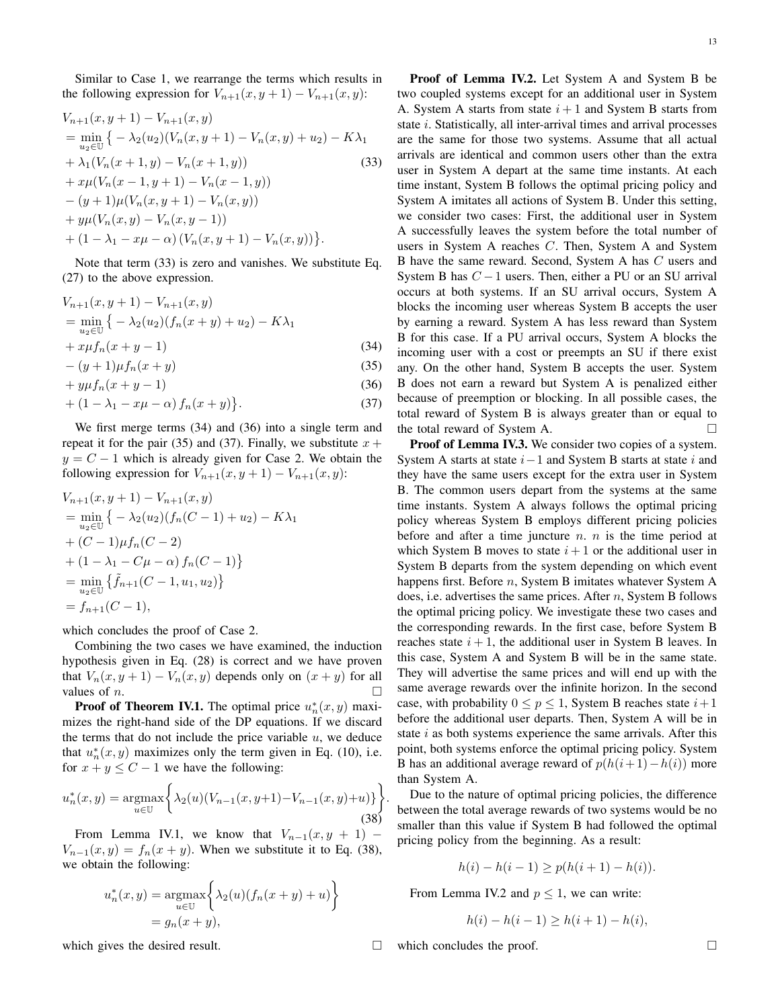Similar to Case 1, we rearrange the terms which results in the following expression for  $V_{n+1}(x, y+1) - V_{n+1}(x, y)$ :

$$
V_{n+1}(x, y+1) - V_{n+1}(x, y)
$$
  
= 
$$
\min_{u_2 \in \mathbb{U}} \{-\lambda_2(u_2)(V_n(x, y+1) - V_n(x, y) + u_2) - K\lambda_1
$$
  
+ 
$$
\lambda_1(V_n(x+1, y) - V_n(x+1, y))
$$
  
+ 
$$
x\mu(V_n(x-1, y+1) - V_n(x-1, y))
$$
  
- 
$$
(y+1)\mu(V_n(x, y+1) - V_n(x, y))
$$
  
+ 
$$
y\mu(V_n(x, y) - V_n(x, y-1))
$$
  
+ 
$$
(1 - \lambda_1 - x\mu - \alpha) (V_n(x, y+1) - V_n(x, y))\}.
$$
 (33)

Note that term (33) is zero and vanishes. We substitute Eq. (27) to the above expression.

$$
V_{n+1}(x, y+1) - V_{n+1}(x, y)
$$
  
= 
$$
\min_{u_2 \in U} \{ -\lambda_2(u_2)(f_n(x+y) + u_2) - K\lambda_1
$$
  
+ 
$$
x\mu f_n(x+y-1)
$$
 (34)

$$
-(y+1)\mu f_n(x+y) \tag{35}
$$

$$
+ y\mu f_n(x+y-1) \tag{36}
$$

$$
+(1-\lambda_1-x\mu-\alpha)f_n(x+y)\}.
$$
\n(37)

We first merge terms (34) and (36) into a single term and repeat it for the pair (35) and (37). Finally, we substitute  $x +$  $y = C - 1$  which is already given for Case 2. We obtain the following expression for  $V_{n+1}(x, y+1) - V_{n+1}(x, y)$ :

$$
V_{n+1}(x, y+1) - V_{n+1}(x, y)
$$
  
= 
$$
\min_{u_2 \in \mathbb{U}} \{ -\lambda_2(u_2)(f_n(C-1) + u_2) - K\lambda_1
$$
  
+ 
$$
(C-1)\mu f_n(C-2)
$$
  
+ 
$$
(1 - \lambda_1 - C\mu - \alpha) f_n(C-1) \}
$$
  
= 
$$
\min_{u_2 \in \mathbb{U}} \{ \tilde{f}_{n+1}(C-1, u_1, u_2) \}
$$
  
= 
$$
f_{n+1}(C-1),
$$

which concludes the proof of Case 2.

Combining the two cases we have examined, the induction hypothesis given in Eq. (28) is correct and we have proven that  $V_n(x, y + 1) - V_n(x, y)$  depends only on  $(x + y)$  for all values of  $n$ .

**Proof of Theorem IV.1.** The optimal price  $u_n^*(x, y)$  maximizes the right-hand side of the DP equations. If we discard the terms that do not include the price variable  $u$ , we deduce that  $u_n^*(x, y)$  maximizes only the term given in Eq. (10), i.e. for  $x + y \leq C - 1$  we have the following:

$$
u_n^*(x, y) = \underset{u \in \mathbb{U}}{\operatorname{argmax}} \left\{ \lambda_2(u)(V_{n-1}(x, y+1) - V_{n-1}(x, y) + u) \right\} \tag{38}
$$

From Lemma IV.1, we know that  $V_{n-1}(x, y + 1)$  –  $V_{n-1}(x, y) = f_n(x + y)$ . When we substitute it to Eq. (38), we obtain the following:

$$
u_n^*(x, y) = \underset{u \in \mathbb{U}}{\operatorname{argmax}} \left\{ \lambda_2(u) (f_n(x + y) + u) \right\}
$$

$$
= g_n(x + y),
$$

which gives the desired result.  $\Box$ 

Proof of Lemma IV.2. Let System A and System B be two coupled systems except for an additional user in System A. System A starts from state  $i+1$  and System B starts from state i. Statistically, all inter-arrival times and arrival processes are the same for those two systems. Assume that all actual arrivals are identical and common users other than the extra user in System A depart at the same time instants. At each time instant, System B follows the optimal pricing policy and System A imitates all actions of System B. Under this setting, we consider two cases: First, the additional user in System A successfully leaves the system before the total number of users in System A reaches C. Then, System A and System B have the same reward. Second, System A has C users and System B has  $C - 1$  users. Then, either a PU or an SU arrival occurs at both systems. If an SU arrival occurs, System A blocks the incoming user whereas System B accepts the user by earning a reward. System A has less reward than System B for this case. If a PU arrival occurs, System A blocks the incoming user with a cost or preempts an SU if there exist any. On the other hand, System B accepts the user. System B does not earn a reward but System A is penalized either because of preemption or blocking. In all possible cases, the total reward of System B is always greater than or equal to the total reward of System A.

Proof of Lemma IV.3. We consider two copies of a system. System A starts at state  $i-1$  and System B starts at state i and they have the same users except for the extra user in System B. The common users depart from the systems at the same time instants. System A always follows the optimal pricing policy whereas System B employs different pricing policies before and after a time juncture  $n$ .  $n$  is the time period at which System B moves to state  $i+1$  or the additional user in System B departs from the system depending on which event happens first. Before *n*, System B imitates whatever System A does, i.e. advertises the same prices. After  $n$ , System B follows the optimal pricing policy. We investigate these two cases and the corresponding rewards. In the first case, before System B reaches state  $i + 1$ , the additional user in System B leaves. In this case, System A and System B will be in the same state. They will advertise the same prices and will end up with the same average rewards over the infinite horizon. In the second case, with probability  $0 \le p \le 1$ , System B reaches state  $i+1$ before the additional user departs. Then, System A will be in state  $i$  as both systems experience the same arrivals. After this point, both systems enforce the optimal pricing policy. System B has an additional average reward of  $p(h(i+1)-h(i))$  more than System A.

Due to the nature of optimal pricing policies, the difference between the total average rewards of two systems would be no smaller than this value if System B had followed the optimal pricing policy from the beginning. As a result:

$$
h(i) - h(i-1) \ge p(h(i+1) - h(i)).
$$

From Lemma IV.2 and  $p \leq 1$ , we can write:

$$
h(i) - h(i-1) \ge h(i+1) - h(i),
$$

which concludes the proof.

.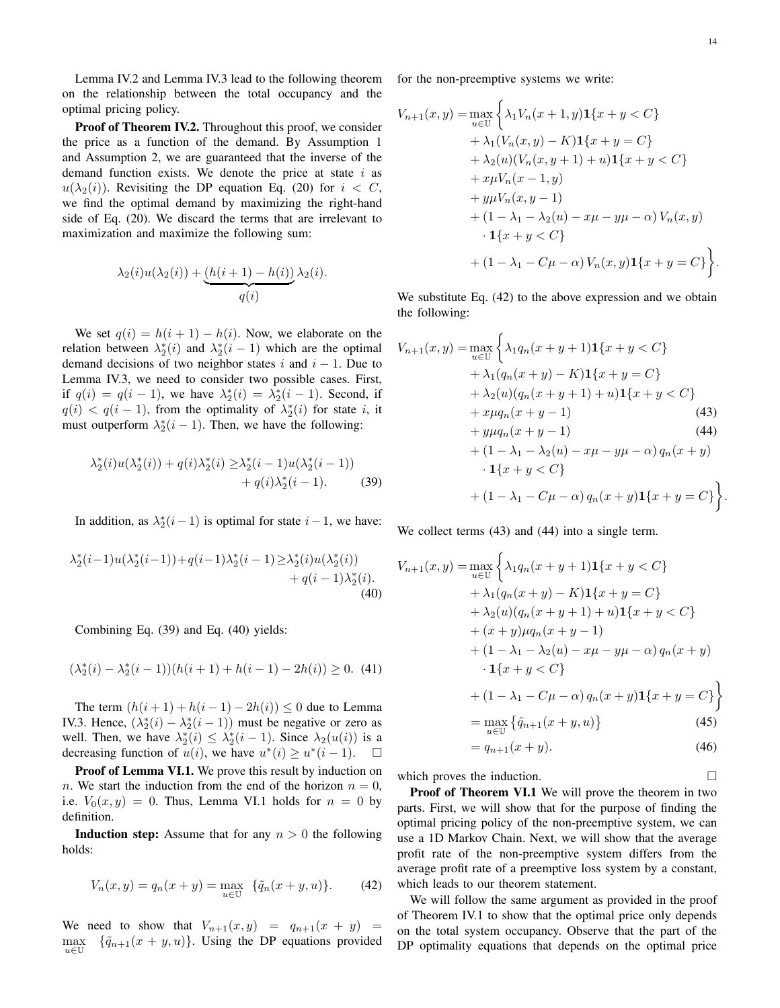Lemma IV.2 and Lemma IV.3 lead to the following theorem on the relationship between the total occupancy and the optimal pricing policy.

Proof of Theorem IV.2. Throughout this proof, we consider the price as a function of the demand. By Assumption 1 and Assumption 2, we are guaranteed that the inverse of the demand function exists. We denote the price at state  $i$  as  $u(\lambda_2(i))$ . Revisiting the DP equation Eq. (20) for  $i < C$ , we find the optimal demand by maximizing the right-hand side of Eq. (20). We discard the terms that are irrelevant to maximization and maximize the following sum:

$$
\lambda_2(i)u(\lambda_2(i)) + \underbrace{(h(i+1) - h(i))}_{q(i)} \lambda_2(i).
$$

We set  $q(i) = h(i + 1) - h(i)$ . Now, we elaborate on the relation between  $\lambda_2^*(i)$  and  $\lambda_2^*(i-1)$  which are the optimal demand decisions of two neighbor states i and  $i - 1$ . Due to Lemma IV.3, we need to consider two possible cases. First, if  $q(i) = q(i - 1)$ , we have  $\lambda_2^*(i) = \lambda_2^*(i - 1)$ . Second, if  $q(i) < q(i-1)$ , from the optimality of  $\lambda_2^*(i)$  for state i, it must outperform  $\lambda_2^*(i-1)$ . Then, we have the following:

$$
\lambda_2^*(i)u(\lambda_2^*(i)) + q(i)\lambda_2^*(i) \ge \lambda_2^*(i-1)u(\lambda_2^*(i-1)) +q(i)\lambda_2^*(i-1).
$$
 (39)

In addition, as  $\lambda_2^*(i-1)$  is optimal for state  $i-1$ , we have:

$$
\lambda_2^*(i-1)u(\lambda_2^*(i-1)) + q(i-1)\lambda_2^*(i-1) \geq \lambda_2^*(i)u(\lambda_2^*(i)) +q(i-1)\lambda_2^*(i).
$$
\n(40)

Combining Eq. (39) and Eq. (40) yields:

$$
(\lambda_2^*(i) - \lambda_2^*(i-1))(h(i+1) + h(i-1) - 2h(i)) \ge 0.
$$
 (41)

The term  $(h(i + 1) + h(i - 1) - 2h(i)) \le 0$  due to Lemma IV.3. Hence,  $(\lambda_2^*(i) - \lambda_2^*(i-1))$  must be negative or zero as well. Then, we have  $\lambda_2^*(i) \leq \lambda_2^*(i-1)$ . Since  $\lambda_2(u(i))$  is a decreasing function of  $u(i)$ , we have  $u^*(i) \ge u^*(i-1)$ .  $\Box$ 

Proof of Lemma VI.1. We prove this result by induction on n. We start the induction from the end of the horizon  $n = 0$ , i.e.  $V_0(x, y) = 0$ . Thus, Lemma VI.1 holds for  $n = 0$  by definition.

**Induction step:** Assume that for any  $n > 0$  the following holds:

$$
V_n(x, y) = q_n(x + y) = \max_{u \in \mathbb{U}} \{ \tilde{q}_n(x + y, u) \}.
$$
 (42)

We need to show that  $V_{n+1}(x, y) = q_{n+1}(x + y)$ max  $u \in \mathbb{U}$  $\{\tilde{q}_{n+1}(x+y,u)\}\$ . Using the DP equations provided for the non-preemptive systems we write:

$$
V_{n+1}(x,y) = \max_{u \in U} \left\{ \lambda_1 V_n(x+1,y) \mathbf{1}\{x+y < C\} + \lambda_1 (V_n(x,y) - K) \mathbf{1}\{x+y = C\} + \lambda_2(u) (V_n(x,y+1) + u) \mathbf{1}\{x+y < C\} + x \mu V_n(x-1,y) + y \mu V_n(x,y-1) + (1 - \lambda_1 - \lambda_2(u) - x\mu - y\mu - \alpha) V_n(x,y) - \mathbf{1}\{x+y < C\} + (1 - \lambda_1 - C\mu - \alpha) V_n(x,y) \mathbf{1}\{x+y = C\} \right\}.
$$

We substitute Eq. (42) to the above expression and we obtain the following:

$$
V_{n+1}(x,y) = \max_{u \in U} \left\{ \lambda_1 q_n(x+y+1) \mathbf{1}\{x+y < C\} + \lambda_1 (q_n(x+y) - K) \mathbf{1}\{x+y = C\} + \lambda_2 (u)(q_n(x+y+1) + u) \mathbf{1}\{x+y < C\} + x \mu q_n(x+y-1) \right\}
$$
\n
$$
+ y \mu q_n(x+y-1) \tag{43}
$$
\n
$$
+ (1 - \lambda_1 - \lambda_2(u) - x\mu - y\mu - \alpha) q_n(x+y) - \mathbf{1}\{x+y < C\}
$$
\n
$$
+ (1 - \lambda_1 - C\mu - \alpha) q_n(x+y) \mathbf{1}\{x+y = C\} \left\}.
$$

We collect terms (43) and (44) into a single term.

$$
V_{n+1}(x, y) = \max_{u \in U} \left\{ \lambda_1 q_n (x + y + 1) \mathbf{1} \{x + y < C\} + \lambda_1 (q_n (x + y) - K) \mathbf{1} \{x + y = C\} + \lambda_2 (u) (q_n (x + y + 1) + u) \mathbf{1} \{x + y < C\} + (x + y) \mu q_n (x + y - 1) + (1 - \lambda_1 - \lambda_2 (u) - x\mu - y\mu - \alpha) q_n (x + y) - \mathbf{1} \{x + y < C\} + (1 - \lambda_1 - C\mu - \alpha) q_n (x + y) \mathbf{1} \{x + y = C\} \right\} = \max_{u \in U} \left\{ \tilde{q}_{n+1}(x + y, u) \right\} \tag{45}
$$

$$
=q_{n+1}(x+y).\t\t(46)
$$

which proves the induction.

Proof of Theorem VI.1 We will prove the theorem in two parts. First, we will show that for the purpose of finding the optimal pricing policy of the non-preemptive system, we can use a 1D Markov Chain. Next, we will show that the average profit rate of the non-preemptive system differs from the average profit rate of a preemptive loss system by a constant, which leads to our theorem statement.

We will follow the same argument as provided in the proof of Theorem IV.1 to show that the optimal price only depends on the total system occupancy. Observe that the part of the DP optimality equations that depends on the optimal price